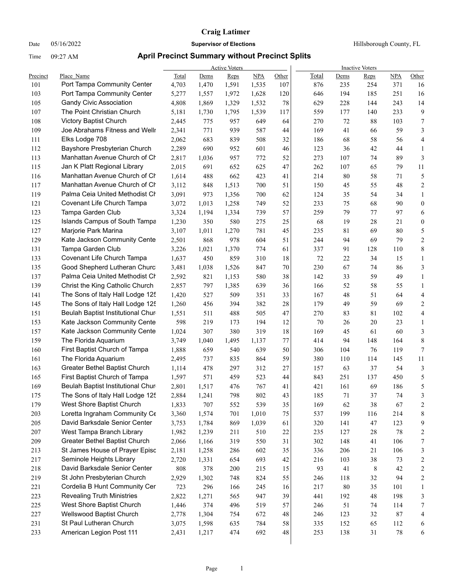Date 05/16/2022 **Supervisor of Elections Supervisor of Elections** Hillsborough County, FL

|          |                                      |       |       | <b>Active Voters</b> |            |       | <b>Inactive Voters</b> |      |        |        |                         |  |  |
|----------|--------------------------------------|-------|-------|----------------------|------------|-------|------------------------|------|--------|--------|-------------------------|--|--|
| Precinct | Place Name                           | Total | Dems  | Reps                 | <b>NPA</b> | Other | Total                  | Dems | Reps   | NPA    | Other                   |  |  |
| 101      | Port Tampa Community Center          | 4,703 | 1,470 | 1,591                | 1,535      | 107   | 876                    | 235  | 254    | 371    | 16                      |  |  |
| 103      | Port Tampa Community Center          | 5,277 | 1,557 | 1,972                | 1,628      | 120   | 646                    | 194  | 185    | 251    | 16                      |  |  |
| 105      | <b>Gandy Civic Association</b>       | 4,808 | 1,869 | 1,329                | 1,532      | 78    | 629                    | 228  | 144    | 243    | 14                      |  |  |
| 107      | The Point Christian Church           | 5,181 | 1,730 | 1,795                | 1,539      | 117   | 559                    | 177  | 140    | 233    | 9                       |  |  |
| 108      | Victory Baptist Church               | 2,445 | 775   | 957                  | 649        | 64    | 270                    | 72   | 88     | 103    | $\tau$                  |  |  |
| 109      | Joe Abrahams Fitness and Wellr       | 2,341 | 771   | 939                  | 587        | 44    | 169                    | 41   | 66     | 59     | 3                       |  |  |
| 111      | Elks Lodge 708                       | 2,062 | 683   | 839                  | 508        | 32    | 186                    | 68   | 58     | 56     | 4                       |  |  |
| 112      | Bayshore Presbyterian Church         | 2,289 | 690   | 952                  | 601        | 46    | 123                    | 36   | 42     | 44     | $\mathbf{1}$            |  |  |
| 113      | Manhattan Avenue Church of Ch        | 2,817 | 1,036 | 957                  | 772        | 52    | 273                    | 107  | 74     | 89     | 3                       |  |  |
| 115      | Jan K Platt Regional Library         | 2,015 | 691   | 652                  | 625        | 47    | 262                    | 107  | 65     | 79     | 11                      |  |  |
| 116      | Manhattan Avenue Church of Ch        | 1,614 | 488   | 662                  | 423        | 41    | 214                    | 80   | 58     | 71     | $\mathfrak s$           |  |  |
| 117      | Manhattan Avenue Church of Ch        | 3,112 | 848   | 1,513                | 700        | 51    | 150                    | 45   | 55     | 48     | $\boldsymbol{2}$        |  |  |
| 119      | Palma Ceia United Methodist Ch       | 3,091 | 973   | 1,356                | 700        | 62    | 124                    | 35   | 54     | 34     | $\mathbf{1}$            |  |  |
| 121      | Covenant Life Church Tampa           | 3,072 | 1,013 | 1,258                | 749        | 52    | 233                    | 75   | 68     | 90     | $\boldsymbol{0}$        |  |  |
| 123      | Tampa Garden Club                    | 3,324 | 1,194 | 1,334                | 739        | 57    | 259                    | 79   | 77     | 97     | 6                       |  |  |
| 125      | <b>Islands Campus of South Tampa</b> | 1,230 | 350   | 580                  | 275        | 25    | 68                     | 19   | 28     | 21     | $\boldsymbol{0}$        |  |  |
| 127      | Marjorie Park Marina                 | 3,107 | 1,011 | 1,270                | 781        | 45    | 235                    | 81   | 69     | 80     | 5                       |  |  |
| 129      | Kate Jackson Community Cente         | 2,501 | 868   | 978                  | 604        | 51    | 244                    | 94   | 69     | 79     | 2                       |  |  |
| 131      | Tampa Garden Club                    | 3,226 | 1,021 | 1,370                | 774        | 61    | 337                    | 91   | 128    | 110    | 8                       |  |  |
| 133      | Covenant Life Church Tampa           | 1,637 | 450   | 859                  | 310        | 18    | 72                     | 22   | 34     | 15     | 1                       |  |  |
| 135      | Good Shepherd Lutheran Churc         | 3,481 | 1,038 | 1,526                | 847        | 70    | 230                    | 67   | 74     | 86     | 3                       |  |  |
| 137      | Palma Ceia United Methodist Ch       | 2,592 | 821   | 1,153                | 580        | 38    | 142                    | 33   | 59     | 49     | $\mathbf{1}$            |  |  |
| 139      | Christ the King Catholic Church      | 2,857 | 797   | 1,385                | 639        | 36    | 166                    | 52   | 58     | 55     | 1                       |  |  |
| 141      | The Sons of Italy Hall Lodge 125     | 1,420 | 527   | 509                  | 351        | 33    | 167                    | 48   | 51     | 64     | $\overline{4}$          |  |  |
| 145      | The Sons of Italy Hall Lodge 125     | 1,260 | 456   | 394                  | 382        | 28    | 179                    | 49   | 59     | 69     | 2                       |  |  |
| 151      | Beulah Baptist Institutional Chur    | 1,551 | 511   | 488                  | 505        | 47    | 270                    | 83   | 81     | 102    | 4                       |  |  |
| 153      | Kate Jackson Community Cente         | 598   | 219   | 173                  | 194        | 12    | 70                     | 26   | 20     | 23     | $\mathbf{1}$            |  |  |
| 157      | Kate Jackson Community Cente         | 1,024 | 307   | 380                  | 319        | 18    | 169                    | 45   | 61     | 60     | 3                       |  |  |
| 159      | The Florida Aquarium                 | 3,749 | 1,040 | 1,495                | 1,137      | 77    | 414                    | 94   | 148    | 164    | 8                       |  |  |
| 160      | First Baptist Church of Tampa        | 1,888 | 659   | 540                  | 639        | 50    | 306                    | 104  | 76     | 119    | 7                       |  |  |
| 161      | The Florida Aquarium                 | 2,495 | 737   | 835                  | 864        | 59    | 380                    | 110  | 114    | 145    | 11                      |  |  |
| 163      | Greater Bethel Baptist Church        | 1,114 | 478   | 297                  | 312        | 27    | 157                    | 63   | 37     | 54     | 3                       |  |  |
| 165      | First Baptist Church of Tampa        | 1,597 | 571   | 459                  | 523        | 44    | 843                    | 251  | 137    | 450    | 5                       |  |  |
| 169      | Beulah Baptist Institutional Chur    | 2,801 | 1,517 | 476                  | 767        | 41    | 421                    | 161  | 69     | 186    | 5                       |  |  |
| 175      | The Sons of Italy Hall Lodge 125     | 2,884 | 1,241 | 798                  | 802        | 43    | 185                    | 71   | $37\,$ | 74     | 3                       |  |  |
| 179      | West Shore Baptist Church            | 1,833 | 707   | 552                  | 539        | 35    | 169                    | 62   | 38     | 67     | 2                       |  |  |
| 203      | Loretta Ingraham Community Ce        | 3,360 | 1,574 | 701                  | 1,010      | 75    | 537                    | 199  | 116    | 214    | 8                       |  |  |
| 205      | David Barksdale Senior Center        | 3,753 | 1,784 | 869                  | 1,039      | 61    | 320                    | 141  | 47     | 123    | 9                       |  |  |
| 207      | West Tampa Branch Library            | 1,982 | 1,239 | 211                  | 510        | 22    | 235                    | 127  | 28     | 78     | 2                       |  |  |
| 209      | Greater Bethel Baptist Church        | 2,066 | 1,166 | 319                  | 550        | 31    | 302                    | 148  | 41     | 106    | 7                       |  |  |
| 213      | St James House of Prayer Episc       | 2,181 | 1,258 | 286                  | 602        | 35    | 336                    | 206  | 21     | 106    | 3                       |  |  |
| 217      | Seminole Heights Library             | 2,720 | 1,331 | 654                  | 693        | 42    | 216                    | 103  | 38     | 73     | $\overline{\mathbf{c}}$ |  |  |
| 218      | David Barksdale Senior Center        | 808   | 378   | 200                  | 215        | 15    | 93                     | 41   | 8      | 42     | $\boldsymbol{2}$        |  |  |
| 219      | St John Presbyterian Church          | 2,929 | 1,302 | 748                  | 824        | 55    | 246                    | 118  | 32     | 94     | $\overline{c}$          |  |  |
| 221      | Cordelia B Hunt Community Cer        | 723   | 296   | 166                  | 245        | 16    | 217                    | 80   | 35     | 101    | $\mathbf{1}$            |  |  |
| 223      | <b>Revealing Truth Ministries</b>    | 2,822 | 1,271 | 565                  | 947        | 39    | 441                    | 192  | 48     | 198    | 3                       |  |  |
| 225      | West Shore Baptist Church            | 1,446 | 374   | 496                  | 519        | 57    | 246                    | 51   | 74     | 114    | 7                       |  |  |
| 227      | Wellswood Baptist Church             | 2,778 | 1,304 | 754                  | 672        | 48    | 246                    | 123  | 32     | 87     | 4                       |  |  |
| 231      | St Paul Lutheran Church              | 3,075 | 1,598 | 635                  | 784        | 58    | 335                    | 152  | 65     | 112    | 6                       |  |  |
| 233      | American Legion Post 111             | 2,431 | 1,217 | 474                  | 692        | 48    | 253                    | 138  | 31     | $78\,$ | 6                       |  |  |
|          |                                      |       |       |                      |            |       |                        |      |        |        |                         |  |  |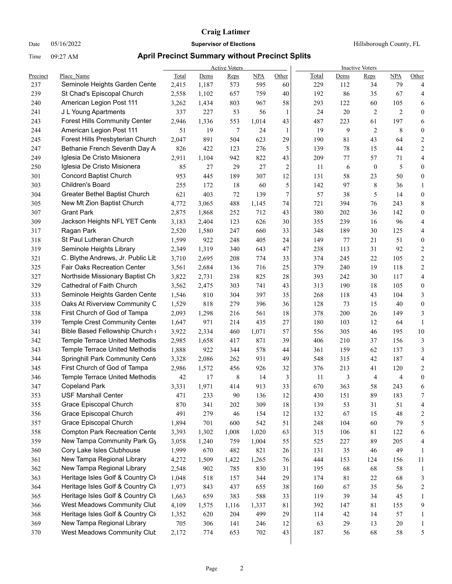Date 05/16/2022 **Supervisor of Elections Supervisor of Elections** Hillsborough County, FL

|            |                                                                 |                |              | <b>Active Voters</b> |              |                | <b>Inactive Voters</b> |            |                      |                       |                       |  |
|------------|-----------------------------------------------------------------|----------------|--------------|----------------------|--------------|----------------|------------------------|------------|----------------------|-----------------------|-----------------------|--|
| Precinct   | Place Name                                                      | Total          | Dems         | Reps                 | NPA          | Other          | Total                  | Dems       | <b>Reps</b>          | <b>NPA</b>            | Other                 |  |
| 237        | Seminole Heights Garden Cente                                   | 2,415          | 1,187        | 573                  | 595          | 60             | 229                    | 112        | 34                   | 79                    | 4                     |  |
| 239        | St Chad's Episcopal Church                                      | 2,558          | 1,102        | 657                  | 759          | 40             | 192                    | 86         | 35                   | 67                    | 4                     |  |
| 240<br>241 | American Legion Post 111<br>J L Young Apartments                | 3,262          | 1,434<br>227 | 803                  | 967          | 58             | 293<br>24              | 122<br>20  | 60<br>$\overline{2}$ | 105<br>$\overline{2}$ | 6<br>$\boldsymbol{0}$ |  |
|            | <b>Forest Hills Community Center</b>                            | 337            |              | 53                   | 56           | 1              |                        |            |                      |                       |                       |  |
| 243        |                                                                 | 2,946          | 1,336        | 553                  | 1,014        | 43             | 487                    | 223        | 61<br>$\overline{2}$ | 197                   | 6                     |  |
| 244        | American Legion Post 111<br>Forest Hills Presbyterian Church    | 51             | 19           | 7                    | 24           | 1              | 19                     | 9          |                      | 8                     | 0                     |  |
| 245        | Bethanie French Seventh Day A                                   | 2,047          | 891          | 504                  | 623          | 29             | 190                    | 81         | 43                   | 64                    | 2                     |  |
| 247        | Iglesia De Cristo Misionera                                     | 826            | 422          | 123                  | 276          | 5              | 139                    | $78\,$     | 15                   | 44                    | 2                     |  |
| 249        |                                                                 | 2,911          | 1,104        | 942                  | 822          | 43             | 209                    | 77         | 57                   | 71                    | 4                     |  |
| 250        | Iglesia De Cristo Misionera                                     | 85             | 27           | 29                   | 27           | $\overline{c}$ | 11                     | 6          | $\boldsymbol{0}$     | 5                     | $\boldsymbol{0}$      |  |
| 301        | <b>Concord Baptist Church</b><br>Children's Board               | 953            | 445          | 189                  | 307          | 12             | 131                    | 58         | 23                   | 50                    | $\boldsymbol{0}$      |  |
| 303        |                                                                 | 255            | 172          | 18                   | 60           | 5<br>7         | 142                    | 97         | $\,$ 8 $\,$          | 36                    | 1                     |  |
| 304        | Greater Bethel Baptist Church                                   | 621            | 403          | 72                   | 139          |                | 57                     | 38         | 5                    | 14                    | $\boldsymbol{0}$      |  |
| 305        | New Mt Zion Baptist Church<br><b>Grant Park</b>                 | 4,772          | 3,065        | 488                  | 1,145        | 74             | 721                    | 394        | 76                   | 243                   | 8                     |  |
| 307        |                                                                 | 2,875          | 1,868        | 252                  | 712          | 43             | 380                    | 202        | 36                   | 142                   | $\boldsymbol{0}$      |  |
| 309        | Jackson Heights NFL YET Cente                                   | 3,183          | 2,404        | 123                  | 626          | 30             | 355                    | 239        | 16                   | 96                    | 4                     |  |
| 317        | Ragan Park                                                      | 2,520          | 1,580        | 247                  | 660          | 33             | 348                    | 189        | 30                   | 125                   | 4                     |  |
| 318        | St Paul Lutheran Church                                         | 1,599          | 922          | 248                  | 405          | 24             | 149                    | 77         | 21                   | 51                    | 0                     |  |
| 319        | Seminole Heights Library                                        | 2,349          | 1,319        | 340                  | 643          | 47             | 238                    | 113        | 31                   | 92                    | 2                     |  |
| 321        | C. Blythe Andrews, Jr. Public Lit                               | 3,710          | 2,695        | 208                  | 774          | 33             | 374                    | 245        | 22                   | 105                   | 2                     |  |
| 325        | <b>Fair Oaks Recreation Center</b>                              | 3,561          | 2,684        | 136                  | 716          | 25             | 379                    | 240        | 19                   | 118                   | 2                     |  |
| 327        | Northside Missionary Baptist Ch                                 | 3,822          | 2,731        | 238                  | 825          | 28             | 393                    | 242        | 30                   | 117                   | 4                     |  |
| 329        | Cathedral of Faith Church                                       | 3,562          | 2,475        | 303                  | 741          | 43             | 313                    | 190        | 18                   | 105                   | 0                     |  |
| 333        | Seminole Heights Garden Cente                                   | 1,546          | 810          | 304                  | 397          | 35             | 268                    | 118        | 43                   | 104                   | 3                     |  |
| 335        | Oaks At Riverview Community C                                   | 1,529          | 818          | 279                  | 396          | 36             | 128                    | 73         | 15                   | 40                    | $\boldsymbol{0}$      |  |
| 338        | First Church of God of Tampa                                    | 2,093          | 1,298        | 216                  | 561          | 18             | 378                    | 200        | 26                   | 149                   | 3                     |  |
| 339        | Temple Crest Community Cente                                    | 1,647          | 971          | 214                  | 435          | 27             | 180                    | 103        | 12                   | 64                    | 1                     |  |
| 341<br>342 | Bible Based Fellowship Church<br>Temple Terrace United Methodis | 3,922          | 2,334        | 460                  | 1,071<br>871 | 57<br>39       | 556<br>406             | 305<br>210 | 46<br>37             | 195<br>156            | 10<br>3               |  |
| 343        | Temple Terrace United Methodis                                  | 2,985<br>1,888 | 1,658<br>922 | 417<br>344           | 578          |                |                        | 159        | 62                   | 137                   | 3                     |  |
| 344        | Springhill Park Community Cent                                  | 3,328          | 2,086        | 262                  | 931          | 44<br>49       | 361<br>548             | 315        | 42                   | 187                   | 4                     |  |
| 345        | First Church of God of Tampa                                    | 2,986          | 1,572        | 456                  | 926          | 32             | 376                    | 213        | 41                   | 120                   | 2                     |  |
| 346        | Temple Terrace United Methodis                                  | 42             | 17           | 8                    | 14           | 3              | 11                     | 3          | 4                    | 4                     | $\boldsymbol{0}$      |  |
| 347        | <b>Copeland Park</b>                                            | 3,331          | 1,971        | 414                  | 913          | 33             | 670                    | 363        | 58                   | 243                   | 6                     |  |
|            | <b>USF Marshall Center</b>                                      |                |              |                      |              | 12             |                        |            | 89                   | 183                   | 7                     |  |
| 353<br>355 | Grace Episcopal Church                                          | 471<br>870     | 233<br>341   | 90<br>202            | 136<br>309   | 18             | 430<br>139             | 151<br>53  | 31                   | 51                    |                       |  |
| 356        | Grace Episcopal Church                                          | 491            | 279          | 46                   | 154          | 12             | 132                    | 67         | 15                   | 48                    | 4<br>2                |  |
| 357        | Grace Episcopal Church                                          | 1,894          | 701          | 600                  | 542          | 51             | 248                    | 104        | 60                   | 79                    | 5                     |  |
| 358        | <b>Compton Park Recreation Cente</b>                            | 3,393          | 1,302        | 1,008                | 1,020        | 63             | 315                    | 106        | 81                   | 122                   | 6                     |  |
| 359        | New Tampa Community Park Gy                                     | 3,058          | 1,240        | 759                  | 1,004        | 55             | 525                    | 227        | 89                   | 205                   | 4                     |  |
| 360        | Cory Lake Isles Clubhouse                                       | 1,999          | 670          | 482                  | 821          | 26             | 131                    | 35         | 46                   | 49                    | 1                     |  |
| 361        | New Tampa Regional Library                                      | 4,272          | 1,509        | 1,422                | 1,265        | 76             | 444                    | 153        | 124                  | 156                   | 11                    |  |
| 362        | New Tampa Regional Library                                      | 2,548          | 902          | 785                  | 830          | 31             | 195                    | 68         | 68                   | 58                    | 1                     |  |
| 363        | Heritage Isles Golf & Country Cli                               | 1,048          | 518          | 157                  | 344          | 29             | 174                    | 81         | 22                   | 68                    | 3                     |  |
| 364        | Heritage Isles Golf & Country Cli                               | 1,973          | 843          | 437                  | 655          | 38             | 160                    | 67         | 35                   | 56                    | $\boldsymbol{2}$      |  |
| 365        | Heritage Isles Golf & Country Cli                               | 1,663          | 659          | 383                  | 588          | 33             | 119                    | 39         | 34                   | 45                    | 1                     |  |
| 366        | West Meadows Community Clut                                     | 4,109          | 1,575        | 1,116                | 1,337        | 81             | 392                    | 147        | 81                   | 155                   | 9                     |  |
| 368        | Heritage Isles Golf & Country Cli                               | 1,352          | 620          | 204                  | 499          | 29             | 114                    | 42         | 14                   | 57                    | $\mathbf{1}$          |  |
| 369        | New Tampa Regional Library                                      | 705            | 306          | 141                  | 246          | 12             | 63                     | 29         | 13                   | $20\,$                | $\mathbf{1}$          |  |
| 370        | West Meadows Community Clut                                     | 2,172          | 774          | 653                  | 702          | 43             | 187                    | 56         | 68                   | 58                    | 5                     |  |
|            |                                                                 |                |              |                      |              |                |                        |            |                      |                       |                       |  |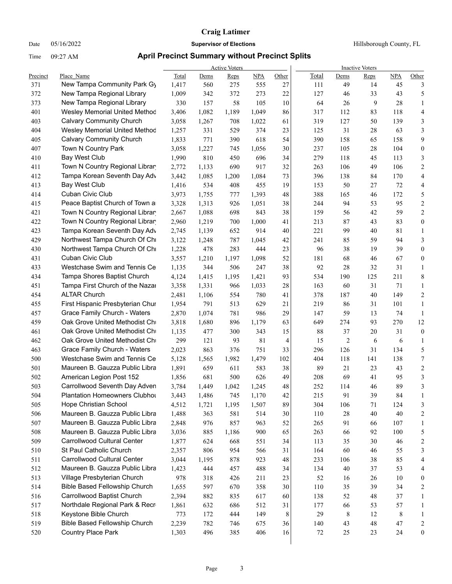Date 05/16/2022 **Supervisor of Elections Supervisor of Elections** Hillsborough County, FL

|          |                                      |       |       | <b>Active Voters</b> |            |       |       |                | <b>Inactive Voters</b> |             |                  |
|----------|--------------------------------------|-------|-------|----------------------|------------|-------|-------|----------------|------------------------|-------------|------------------|
| Precinct | Place Name                           | Total | Dems  | Reps                 | <b>NPA</b> | Other | Total | Dems           | Reps                   | <b>NPA</b>  | Other            |
| 371      | New Tampa Community Park Gy          | 1,417 | 560   | 275                  | 555        | 27    | 111   | 49             | 14                     | 45          | 3                |
| 372      | New Tampa Regional Library           | 1,009 | 342   | 372                  | 273        | 22    | 127   | 46             | 33                     | 43          | 5                |
| 373      | New Tampa Regional Library           | 330   | 157   | 58                   | 105        | 10    | 64    | 26             | 9                      | 28          | $\mathbf{1}$     |
| 401      | <b>Wesley Memorial United Methoc</b> | 3,406 | 1,082 | 1,189                | 1,049      | 86    | 317   | 112            | 83                     | 118         | $\overline{4}$   |
| 403      | <b>Calvary Community Church</b>      | 3,058 | 1,267 | 708                  | 1,022      | 61    | 319   | 127            | 50                     | 139         | 3                |
| 404      | Wesley Memorial United Methoc        | 1,257 | 331   | 529                  | 374        | 23    | 125   | 31             | 28                     | 63          | 3                |
| 405      | <b>Calvary Community Church</b>      | 1,833 | 771   | 390                  | 618        | 54    | 390   | 158            | 65                     | 158         | 9                |
| 407      | Town N Country Park                  | 3,058 | 1,227 | 745                  | 1,056      | 30    | 237   | 105            | 28                     | 104         | $\boldsymbol{0}$ |
| 410      | <b>Bay West Club</b>                 | 1,990 | 810   | 450                  | 696        | 34    | 279   | 118            | 45                     | 113         | 3                |
| 411      | Town N Country Regional Librar       | 2,772 | 1,133 | 690                  | 917        | 32    | 263   | 106            | 49                     | 106         | $\mathbf{2}$     |
| 412      | Tampa Korean Seventh Day Adv         | 3,442 | 1,085 | 1,200                | 1,084      | 73    | 396   | 138            | 84                     | 170         | $\overline{4}$   |
| 413      | Bay West Club                        | 1,416 | 534   | 408                  | 455        | 19    | 153   | 50             | 27                     | 72          | 4                |
| 414      | <b>Cuban Civic Club</b>              | 3,973 | 1,755 | 777                  | 1,393      | 48    | 388   | 165            | 46                     | 172         | 5                |
| 415      | Peace Baptist Church of Town a       | 3,328 | 1,313 | 926                  | 1,051      | 38    | 244   | 94             | 53                     | 95          | $\overline{c}$   |
| 421      | Town N Country Regional Librar       | 2,667 | 1,088 | 698                  | 843        | 38    | 159   | 56             | 42                     | 59          | $\sqrt{2}$       |
| 422      | Town N Country Regional Librar       | 2,960 | 1,219 | 700                  | 1,000      | 41    | 213   | 87             | 43                     | 83          | $\boldsymbol{0}$ |
| 423      | Tampa Korean Seventh Day Adv         | 2,745 | 1,139 | 652                  | 914        | 40    | 221   | 99             | 40                     | 81          | $\mathbf{1}$     |
| 429      | Northwest Tampa Church Of Chi        | 3,122 | 1,248 | 787                  | 1,045      | 42    | 241   | 85             | 59                     | 94          | 3                |
| 430      | Northwest Tampa Church Of Chi        | 1,228 | 478   | 283                  | 444        | 23    | 96    | 38             | 19                     | 39          | $\boldsymbol{0}$ |
| 431      | <b>Cuban Civic Club</b>              | 3,557 | 1,210 | 1,197                | 1,098      | 52    | 181   | 68             | 46                     | 67          | $\boldsymbol{0}$ |
| 433      | Westchase Swim and Tennis Ce         | 1,135 | 344   | 506                  | 247        | 38    | 92    | 28             | 32                     | 31          | $\mathbf{1}$     |
| 434      | Tampa Shores Baptist Church          | 4,124 | 1,415 | 1,195                | 1,421      | 93    | 534   | 190            | 125                    | 211         | 8                |
| 451      | Tampa First Church of the Nazar      | 3,358 | 1,331 | 966                  | 1,033      | 28    | 163   | 60             | 31                     | 71          | $\mathbf{1}$     |
| 454      | <b>ALTAR Church</b>                  | 2,481 | 1,106 | 554                  | 780        | 41    | 378   | 187            | 40                     | 149         | $\overline{2}$   |
| 455      | First Hispanic Presbyterian Chur     | 1,954 | 791   | 513                  | 629        | 21    | 219   | 86             | 31                     | 101         | $\mathbf{1}$     |
| 457      | Grace Family Church - Waters         | 2,870 | 1,074 | 781                  | 986        | 29    | 147   | 59             | 13                     | 74          | $\mathbf{1}$     |
| 459      | Oak Grove United Methodist Ch        | 3,818 | 1,680 | 896                  | 1,179      | 63    | 649   | 274            | 93                     | 270         | 12               |
| 461      | Oak Grove United Methodist Ch        | 1,135 | 477   | 300                  | 343        | 15    | 88    | 37             | 20                     | 31          | $\boldsymbol{0}$ |
| 462      | Oak Grove United Methodist Ch        | 299   | 121   | 93                   | 81         | 4     | 15    | $\overline{2}$ | 6                      | 6           | $\mathbf{1}$     |
| 463      | Grace Family Church - Waters         | 2,023 | 863   | 376                  | 751        | 33    | 296   | 126            | 31                     | 134         | 5                |
| 500      | Westchase Swim and Tennis Ce         | 5,128 | 1,565 | 1,982                | 1,479      | 102   | 404   | 118            | 141                    | 138         | $\boldsymbol{7}$ |
| 501      | Maureen B. Gauzza Public Libra       | 1,891 | 659   | 611                  | 583        | 38    | 89    | 21             | 23                     | 43          | $\sqrt{2}$       |
| 502      | American Legion Post 152             | 1,856 | 681   | 500                  | 626        | 49    | 208   | 69             | 41                     | 95          | $\mathfrak z$    |
| 503      | Carrollwood Seventh Day Adven        | 3,784 | 1,449 | 1,042                | 1,245      | 48    | 252   | 114            | 46                     | 89          | 3                |
| 504      | Plantation Homeowners Clubhou        | 3,443 | 1,486 | 745                  | 1,170      | 42    | 215   | 91             | 39                     | 84          | 1                |
| 505      | Hope Christian School                | 4,512 | 1,721 | 1,195                | 1,507      | 89    | 304   | 106            | 71                     | 124         | 3                |
| 506      | Maureen B. Gauzza Public Libra       | 1,488 | 363   | 581                  | 514        | 30    | 110   | 28             | 40                     | $40\,$      | $\overline{c}$   |
| 507      | Maureen B. Gauzza Public Libra       | 2,848 | 976   | 857                  | 963        | 52    | 265   | 91             | 66                     | 107         | 1                |
| 508      | Maureen B. Gauzza Public Libra       | 3,036 | 885   | 1,186                | 900        | 65    | 263   | 66             | 92                     | 100         | 5                |
| 509      | Carrollwood Cultural Center          | 1,877 | 624   | 668                  | 551        | 34    | 113   | 35             | $30\,$                 | 46          | $\boldsymbol{2}$ |
| 510      | St Paul Catholic Church              | 2,357 | 806   | 954                  | 566        | 31    | 164   | 60             | 46                     | 55          | 3                |
| 511      | Carrollwood Cultural Center          | 3,044 | 1,195 | 878                  | 923        | 48    | 233   | 106            | $38\,$                 | 85          | 4                |
| 512      | Maureen B. Gauzza Public Libra       | 1,423 | 444   | 457                  | 488        | 34    | 134   | 40             | 37                     | 53          | 4                |
| 513      | Village Presbyterian Church          | 978   | 318   | 426                  | 211        | 23    | 52    | 16             | 26                     | 10          | $\boldsymbol{0}$ |
| 514      | <b>Bible Based Fellowship Church</b> | 1,655 | 597   | 670                  | 358        | 30    | 110   | 35             | 39                     | 34          | $\overline{c}$   |
| 516      | Carrollwood Baptist Church           | 2,394 | 882   | 835                  | 617        | 60    | 138   | 52             | 48                     | 37          | $\mathbf{1}$     |
| 517      | Northdale Regional Park & Recr       | 1,861 | 632   | 686                  | 512        | 31    | 177   | 66             | 53                     | 57          | $\mathbf{1}$     |
| 518      | Keystone Bible Church                | 773   | 172   | 444                  | 149        | 8     | 29    | 8              | 12                     | $\,$ 8 $\,$ | $\mathbf{1}$     |
| 519      | Bible Based Fellowship Church        | 2,239 | 782   | 746                  | 675        | 36    | 140   | 43             | 48                     | 47          | $\sqrt{2}$       |
| 520      | Country Place Park                   | 1,303 | 496   | 385                  | 406        | 16    | 72    | 25             | 23                     | 24          | $\boldsymbol{0}$ |
|          |                                      |       |       |                      |            |       |       |                |                        |             |                  |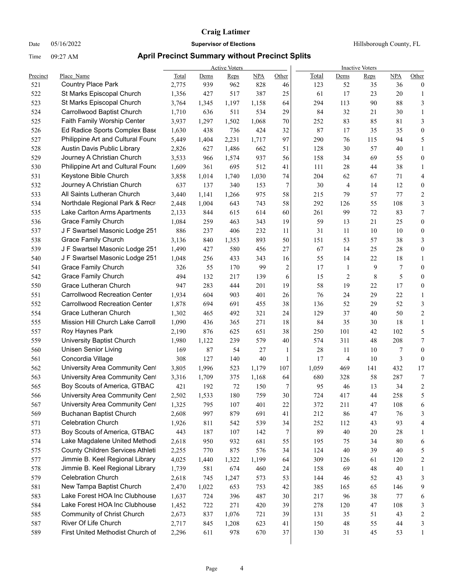Date 05/16/2022 **Supervisor of Elections Supervisor of Elections** Hillsborough County, FL

|          |                                                          |       |       | <b>Active Voters</b> |       |                |       |                | <b>Inactive Voters</b> |            |                          |
|----------|----------------------------------------------------------|-------|-------|----------------------|-------|----------------|-------|----------------|------------------------|------------|--------------------------|
| Precinct | Place Name                                               | Total | Dems  | Reps                 | NPA   | Other          | Total | Dems           | Reps                   | <b>NPA</b> | Other                    |
| 521      | <b>Country Place Park</b>                                | 2,775 | 939   | 962                  | 828   | 46             | 123   | 52             | 35                     | 36         | $\boldsymbol{0}$         |
| 522      | St Marks Episcopal Church                                | 1,356 | 427   | 517                  | 387   | 25             | 61    | 17             | 23                     | 20         | 1                        |
| 523      | St Marks Episcopal Church                                | 3,764 | 1,345 | 1,197                | 1,158 | 64             | 294   | 113            | 90                     | 88         | 3                        |
| 524      | Carrollwood Baptist Church                               | 1,710 | 636   | 511                  | 534   | 29             | 84    | 32             | 21                     | 30         | $\mathbf{1}$             |
| 525      | Faith Family Worship Center                              | 3,937 | 1,297 | 1,502                | 1,068 | 70             | 252   | 83             | 85                     | 81         | 3                        |
| 526      | Ed Radice Sports Complex Base                            | 1,630 | 438   | 736                  | 424   | 32             | 87    | 17             | 35                     | 35         | $\boldsymbol{0}$         |
| 527      | Philippine Art and Cultural Found                        | 5,449 | 1,404 | 2,231                | 1,717 | 97             | 290   | 76             | 115                    | 94         | 5                        |
| 528      | Austin Davis Public Library                              | 2,826 | 627   | 1,486                | 662   | 51             | 128   | 30             | 57                     | 40         | $\mathbf{1}$             |
| 529      | Journey A Christian Church                               | 3,533 | 966   | 1,574                | 937   | 56             | 158   | 34             | 69                     | 55         | $\boldsymbol{0}$         |
| 530      | Philippine Art and Cultural Found                        | 1,609 | 361   | 695                  | 512   | 41             | 111   | 28             | 44                     | 38         | $\mathbf{1}$             |
| 531      | Keystone Bible Church                                    | 3,858 | 1,014 | 1,740                | 1,030 | 74             | 204   | 62             | 67                     | 71         | $\overline{4}$           |
| 532      | Journey A Christian Church                               | 637   | 137   | 340                  | 153   | 7              | 30    | 4              | 14                     | 12         | $\boldsymbol{0}$         |
| 533      | All Saints Lutheran Church                               | 3,440 | 1,141 | 1,266                | 975   | 58             | 215   | 79             | 57                     | 77         | $\overline{2}$           |
| 534      | Northdale Regional Park & Recr                           | 2,448 | 1,004 | 643                  | 743   | 58             | 292   | 126            | 55                     | 108        | $\mathfrak{Z}$           |
| 535      | Lake Carlton Arms Apartments                             | 2,133 | 844   | 615                  | 614   | 60             | 261   | 99             | 72                     | 83         | $\boldsymbol{7}$         |
| 536      | <b>Grace Family Church</b>                               | 1,084 | 259   | 463                  | 343   | 19             | 59    | 13             | 21                     | 25         | $\boldsymbol{0}$         |
| 537      | J F Swartsel Masonic Lodge 251                           | 886   | 237   | 406                  | 232   | 11             | 31    | 11             | 10                     | 10         | $\boldsymbol{0}$         |
| 538      | <b>Grace Family Church</b>                               | 3,136 | 840   | 1,353                | 893   | 50             | 151   | 53             | 57                     | 38         | 3                        |
| 539      | J F Swartsel Masonic Lodge 251                           | 1,490 | 427   | 580                  | 456   | 27             | 67    | 14             | 25                     | 28         | $\boldsymbol{0}$         |
| 540      | J F Swartsel Masonic Lodge 251                           | 1,048 | 256   | 433                  | 343   | 16             | 55    | 14             | 22                     | 18         | 1                        |
| 541      | <b>Grace Family Church</b>                               | 326   | 55    | 170                  | 99    | $\overline{c}$ | 17    | $\mathbf{1}$   | 9                      | 7          | $\boldsymbol{0}$         |
| 542      | <b>Grace Family Church</b>                               | 494   | 132   | 217                  | 139   | 6              | 15    | $\overline{c}$ | 8                      | 5          | $\boldsymbol{0}$         |
| 550      | Grace Lutheran Church                                    | 947   | 283   | 444                  | 201   | 19             | 58    | 19             | 22                     | 17         | $\boldsymbol{0}$         |
| 551      | <b>Carrollwood Recreation Center</b>                     | 1,934 | 604   | 903                  | 401   | 26             | 76    | 24             | 29                     | 22         | $\mathbf{1}$             |
| 552      | <b>Carrollwood Recreation Center</b>                     | 1,878 | 694   | 691                  | 455   | 38             | 136   | 52             | 29                     | 52         | 3                        |
| 554      | Grace Lutheran Church                                    | 1,302 | 465   | 492                  | 321   | 24             | 129   | 37             | 40                     | 50         | $\mathbf{2}$             |
| 555      | Mission Hill Church Lake Carroll                         | 1,090 | 436   | 365                  | 271   | 18             | 84    | 35             | 30                     | 18         | $\mathbf{1}$             |
| 557      | Roy Haynes Park                                          | 2,190 | 876   | 625                  | 651   | 38             | 250   | 101            | 42                     | 102        | 5                        |
| 559      | University Baptist Church                                | 1,980 | 1,122 | 239                  | 579   | 40             | 574   | 311            | 48                     | 208        | $\boldsymbol{7}$         |
| 560      | <b>Unisen Senior Living</b>                              | 169   | 87    | 54                   | 27    | 1              | 28    | 11             | 10                     | 7          | $\boldsymbol{0}$         |
| 561      | Concordia Village                                        | 308   | 127   | 140                  | 40    | 1              | 17    | 4              | 10                     | 3          | $\boldsymbol{0}$         |
| 562      | University Area Community Cent                           | 3,805 | 1,996 | 523                  | 1,179 | 107            | 1,059 | 469            | 141                    | 432        | 17                       |
| 563      | University Area Community Cent                           | 3,316 | 1,709 | 375                  | 1,168 | 64             | 680   | 328            | 58                     | 287        | 7                        |
| 565      | Boy Scouts of America, GTBAC                             | 421   | 192   | 72                   | 150   | 7              | 95    | 46             | 13                     | 34         | $\sqrt{2}$               |
| 566      | University Area Community Cent                           | 2,502 | 1,533 | 180                  | 759   | $30\,$         | 724   | 417            | 44                     | 258        | $\overline{\phantom{0}}$ |
| 567      | University Area Community Cent                           | 1,325 | 795   | 107                  | 401   | 22             | 372   | 211            | 47                     | 108        | 6                        |
| 569      | <b>Buchanan Baptist Church</b>                           | 2,608 | 997   | 879                  | 691   | 41             | 212   | 86             | 47                     | 76         | 3                        |
| 571      | <b>Celebration Church</b>                                | 1,926 | 811   | 542                  | 539   | 34             | 252   | 112            | 43                     | 93         | 4                        |
| 573      | Boy Scouts of America, GTBAC                             | 443   | 187   | 107                  | 142   | 7              | 89    | 40             | $20\,$                 | 28         | 1                        |
| 574      | Lake Magdalene United Methodi                            | 2,618 | 950   | 932                  | 681   | 55             | 195   | 75             | 34                     | 80         | 6                        |
| 575      | County Children Services Athleti                         | 2,255 | 770   | 875                  | 576   | 34             | 124   | 40             | 39                     | 40         | 5                        |
| 577      | Jimmie B. Keel Regional Library                          | 4,025 | 1,440 | 1,322                | 1,199 | 64             | 309   | 126            | 61                     | 120        | $\overline{c}$           |
| 578      | Jimmie B. Keel Regional Library                          | 1,739 | 581   | 674                  | 460   | 24             | 158   | 69             | $\sqrt{48}$            | $40\,$     | 1                        |
| 579      | <b>Celebration Church</b>                                | 2,618 | 745   | 1,247                | 573   | 53             | 144   | 46             | 52                     | 43         | 3                        |
| 581      | New Tampa Baptist Church                                 | 2,470 | 1,022 | 653                  | 753   | 42             | 385   | 165            | 65                     | 146        | 9                        |
| 583      | Lake Forest HOA Inc Clubhouse                            | 1,637 | 724   | 396                  | 487   | 30             | 217   | 96             | 38                     | 77         | 6                        |
| 584      | Lake Forest HOA Inc Clubhouse                            | 1,452 | 722   | 271                  | 420   | 39             | 278   | 120            | 47                     | 108        | 3                        |
| 585      | Community of Christ Church                               | 2,673 | 837   | 1,076                | 721   | 39             | 131   | 35             | 51                     | 43         | 2                        |
| 587      | River Of Life Church<br>First United Methodist Church of | 2,717 | 845   | 1,208                | 623   | 41             | 150   | 48             | 55                     | 44         | 3                        |
| 589      |                                                          | 2,296 | 611   | 978                  | 670   | 37             | 130   | 31             | 45                     | 53         | $\mathbf{1}$             |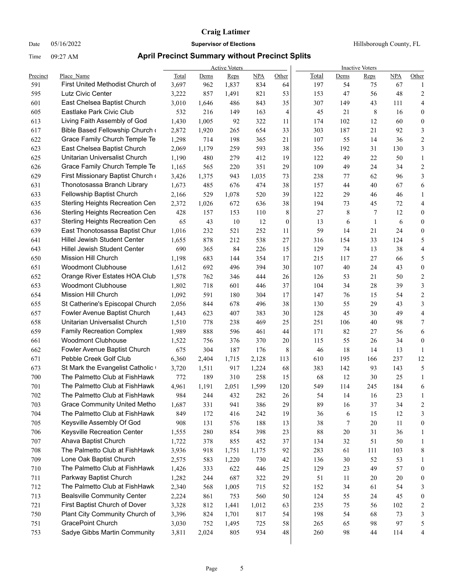Date 05/16/2022 **Supervisor of Elections Supervisor of Elections** Hillsborough County, FL

|          |                                                              |              |              | <b>Active Voters</b> |            |          | <b>Inactive Voters</b> |           |              |           |                  |  |  |
|----------|--------------------------------------------------------------|--------------|--------------|----------------------|------------|----------|------------------------|-----------|--------------|-----------|------------------|--|--|
| Precinct | Place Name                                                   | Total        | Dems         | Reps                 | NPA        | Other    | Total                  | Dems      | <b>Reps</b>  | NPA       | Other            |  |  |
| 591      | First United Methodist Church of                             | 3,697        | 962          | 1,837                | 834        | 64       | 197                    | 54        | 75           | 67        | 1                |  |  |
| 595      | Lutz Civic Center                                            | 3,222        | 857          | 1,491                | 821        | 53       | 153                    | 47        | 56           | 48        | 2                |  |  |
| 601      | East Chelsea Baptist Church<br>Eastlake Park Civic Club      | 3,010<br>532 | 1,646<br>216 | 486<br>149           | 843<br>163 | 35       | 307<br>45              | 149<br>21 | 43<br>8      | 111<br>16 | 4                |  |  |
| 605      |                                                              |              |              |                      |            | 4        |                        |           |              |           | 0                |  |  |
| 613      | Living Faith Assembly of God                                 | 1,430        | 1,005        | 92                   | 322        | 11       | 174                    | 102       | 12           | 60        | $\boldsymbol{0}$ |  |  |
| 617      | Bible Based Fellowship Church                                | 2,872        | 1,920        | 265                  | 654        | 33       | 303                    | 187       | 21           | 92        | 3                |  |  |
| 622      | Grace Family Church Temple Te                                | 1,298        | 714          | 198                  | 365        | 21       | 107                    | 55        | 14           | 36        | $\overline{c}$   |  |  |
| 623      | East Chelsea Baptist Church<br>Unitarian Universalist Church | 2,069        | 1,179        | 259                  | 593        | 38       | 356                    | 192       | 31           | 130       | 3                |  |  |
| 625      |                                                              | 1,190        | 480          | 279                  | 412        | 19       | 122                    | 49        | 22           | 50        | $\mathbf{1}$     |  |  |
| 626      | Grace Family Church Temple Te                                | 1,165        | 565          | 220                  | 351        | 29       | 109                    | 49        | 24           | 34        | $\overline{c}$   |  |  |
| 629      | First Missionary Baptist Church                              | 3,426        | 1,375        | 943                  | 1,035      | 73       | 238                    | 77        | 62           | 96        | 3                |  |  |
| 631      | Thonotosassa Branch Library                                  | 1,673        | 485          | 676                  | 474        | 38       | 157                    | 44        | 40           | 67        | 6                |  |  |
| 633      | Fellowship Baptist Church                                    | 2,166        | 529          | 1,078                | 520        | 39       | 122                    | 29        | 46           | 46        | $\mathbf{1}$     |  |  |
| 635      | Sterling Heights Recreation Cen                              | 2,372        | 1,026        | 672                  | 636        | 38       | 194                    | 73        | 45           | 72        | 4                |  |  |
| 636      | Sterling Heights Recreation Cen                              | 428          | 157          | 153                  | 110        | 8        | 27                     | 8         | 7            | 12        | 0                |  |  |
| 637      | Sterling Heights Recreation Cen                              | 65           | 43           | 10                   | 12         | $\theta$ | 13                     | 6         | $\mathbf{1}$ | 6         | $\boldsymbol{0}$ |  |  |
| 639      | East Thonotosassa Baptist Chur                               | 1,016        | 232          | 521                  | 252        | 11       | 59                     | 14        | 21           | 24        | $\boldsymbol{0}$ |  |  |
| 641      | <b>Hillel Jewish Student Center</b>                          | 1,655        | 878          | 212                  | 538        | 27       | 316                    | 154       | 33           | 124       | 5                |  |  |
| 643      | Hillel Jewish Student Center                                 | 690          | 365          | 84                   | 226        | 15       | 129                    | 74        | 13           | 38        | 4                |  |  |
| 650      | Mission Hill Church                                          | 1,198        | 683          | 144                  | 354        | 17       | 215                    | 117       | 27           | 66        | 5                |  |  |
| 651      | <b>Woodmont Clubhouse</b>                                    | 1,612        | 692          | 496                  | 394        | 30       | 107                    | 40        | 24           | 43        | $\boldsymbol{0}$ |  |  |
| 652      | Orange River Estates HOA Club                                | 1,578        | 762          | 346                  | 444        | 26       | 126                    | 53        | 21           | 50        | 2                |  |  |
| 653      | <b>Woodmont Clubhouse</b>                                    | 1,802        | 718          | 601                  | 446        | 37       | 104                    | 34        | 28           | 39        | 3                |  |  |
| 654      | Mission Hill Church                                          | 1,092        | 591          | 180                  | 304        | 17       | 147                    | 76        | 15           | 54        | $\overline{c}$   |  |  |
| 655      | St Catherine's Episcopal Church                              | 2,056        | 844          | 678                  | 496        | 38       | 130                    | 55        | 29           | 43        | 3                |  |  |
| 657      | Fowler Avenue Baptist Church                                 | 1,443        | 623          | 407                  | 383        | 30       | 128                    | 45        | 30           | 49        | 4                |  |  |
| 658      | Unitarian Universalist Church                                | 1,510        | 778          | 238                  | 469        | 25       | 251                    | 106       | 40           | 98        | 7                |  |  |
| 659      | <b>Family Recreation Complex</b>                             | 1,989        | 888          | 596                  | 461        | 44       | 171                    | 82        | 27           | 56        | 6                |  |  |
| 661      | <b>Woodmont Clubhouse</b>                                    | 1,522        | 756          | 376                  | 370        | $20\,$   | 115                    | 55        | 26           | 34        | $\boldsymbol{0}$ |  |  |
| 662      | Fowler Avenue Baptist Church                                 | 675          | 304          | 187                  | 176        | 8        | 46                     | 18        | 14           | 13        | $\mathbf{1}$     |  |  |
| 671      | Pebble Creek Golf Club                                       | 6,360        | 2,404        | 1,715                | 2,128      | 113      | 610                    | 195       | 166          | 237       | 12               |  |  |
| 673      | St Mark the Evangelist Catholic                              | 3,720        | 1,511        | 917                  | 1,224      | 68       | 383                    | 142       | 93           | 143       | 5                |  |  |
| 700      | The Palmetto Club at FishHawk                                | 772          | 189          | 310                  | 258        | 15       | 68                     | 12        | 30           | 25        | 1                |  |  |
| 701      | The Palmetto Club at FishHawk                                | 4,961        | 1,191        | 2,051                | 1,599      | 120      | 549                    | 114       | 245          | 184       | 6                |  |  |
| 702      | The Palmetto Club at FishHawk                                | 984          | 244          | 432                  | 282        | 26       | 54                     | -14       | 16           | 23        | $\mathbf{1}$     |  |  |
| 703      | <b>Grace Community United Metho</b>                          | 1,687        | 331          | 941                  | 386        | 29       | 89                     | 16        | 37           | 34        | 2                |  |  |
| 704      | The Palmetto Club at FishHawk                                | 849          | 172          | 416                  | 242        | 19       | 36                     | 6         | 15           | 12        | 3                |  |  |
| 705      | Keysville Assembly Of God                                    | 908          | 131          | 576                  | 188        | 13       | 38                     | 7         | 20           | 11        | $\boldsymbol{0}$ |  |  |
| 706      | Keysville Recreation Center                                  | 1,555        | 280          | 854                  | 398        | 23       | 88                     | 20        | 31           | 36        | 1                |  |  |
| 707      | Ahava Baptist Church                                         | 1,722        | 378          | 855                  | 452        | 37       | 134                    | 32        | 51           | 50        | 1                |  |  |
| 708      | The Palmetto Club at FishHawk                                | 3,936        | 918          | 1,751                | 1,175      | 92       | 283                    | 61        | 111          | 103       | 8                |  |  |
| 709      | Lone Oak Baptist Church                                      | 2,575        | 583          | 1,220                | 730        | 42       | 136                    | 30        | 52           | 53        | 1                |  |  |
| 710      | The Palmetto Club at FishHawk                                | 1,426        | 333          | 622                  | 446        | 25       | 129                    | 23        | 49           | 57        | $\boldsymbol{0}$ |  |  |
| 711      | Parkway Baptist Church                                       | 1,282        | 244          | 687                  | 322        | 29       | 51                     | 11        | 20           | $20\,$    | 0                |  |  |
| 712      | The Palmetto Club at FishHawk                                | 2,340        | 568          | 1,005                | 715        | 52       | 152                    | 34        | 61           | 54        | 3                |  |  |
| 713      | <b>Bealsville Community Center</b>                           | 2,224        | 861          | 753                  | 560        | 50       | 124                    | 55        | 24           | 45        | $\boldsymbol{0}$ |  |  |
| 721      | First Baptist Church of Dover                                | 3,328        | 812          | 1,441                | 1,012      | 63       | 235                    | 75        | 56           | 102       | 2                |  |  |
| 750      | Plant City Community Church of                               | 3,396        | 824          | 1,701                | 817        | 54       | 198                    | 54        | 68           | 73        | 3                |  |  |
| 751      | GracePoint Church                                            | 3,030        | 752          | 1,495                | 725        | 58       | 265                    | 65        | 98           | 97        | 5                |  |  |
| 753      | Sadye Gibbs Martin Community                                 | 3,811        | 2,024        | 805                  | 934        | 48       | 260                    | 98        | 44           | 114       | 4                |  |  |
|          |                                                              |              |              |                      |            |          |                        |           |              |           |                  |  |  |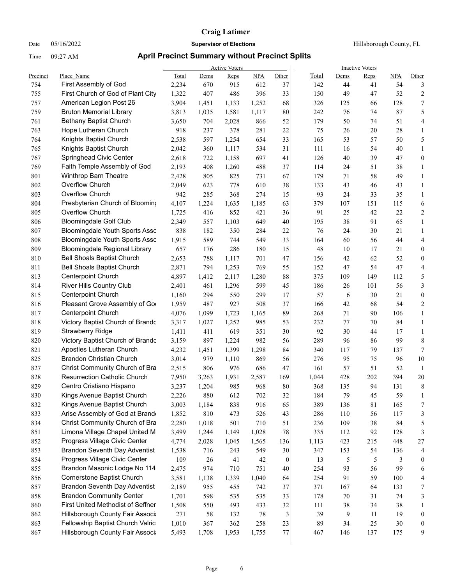Date 05/16/2022 **Supervisor of Elections Supervisor of Elections** Hillsborough County, FL

| Place Name<br><b>NPA</b><br>Other<br>Total<br><b>NPA</b><br>Precinct<br>Total<br>Reps<br>Dems<br>Reps<br>Dems<br>First Assembly of God<br>612<br>54<br>754<br>2,234<br>670<br>915<br>37<br>142<br>44<br>3<br>41<br>33<br>$\overline{c}$<br>755<br>First Church of God of Plant City<br>1,322<br>407<br>486<br>396<br>150<br>49<br>47<br>52<br>757<br>128<br>7<br>American Legion Post 26<br>3,904<br>1,133<br>1,252<br>68<br>326<br>125<br>1,451<br>66<br>759<br>87<br>5<br><b>Bruton Memorial Library</b><br>3,813<br>1,035<br>1,581<br>1,117<br>80<br>242<br>76<br>74<br>761<br><b>Bethany Baptist Church</b><br>52<br>50<br>3,650<br>704<br>2,028<br>866<br>179<br>74<br>51<br>4<br>763<br>Hope Lutheran Church<br>918<br>378<br>281<br>$22\,$<br>75<br>20<br>28<br>237<br>26<br>$\mathbf{1}$<br>5<br>764<br>Knights Baptist Church<br>165<br>53<br>57<br>50<br>2,538<br>597<br>1,254<br>654<br>33<br>765<br>Knights Baptist Church<br>2,042<br>360<br>1,117<br>534<br>31<br>111<br>16<br>54<br>40<br>$\mathbf{1}$<br>767<br>Springhead Civic Center<br>39<br>47<br>$\boldsymbol{0}$<br>2,618<br>722<br>1,158<br>697<br>41<br>126<br>40<br>769<br>Faith Temple Assembly of God<br>37<br>51<br>38<br>2,193<br>408<br>1,260<br>488<br>114<br>24<br>$\mathbf{1}$<br>801<br>Winthrop Barn Theatre<br>67<br>58<br>49<br>2,428<br>805<br>825<br>731<br>179<br>71<br>$\mathbf{1}$<br>Overflow Church<br>802<br>38<br>623<br>778<br>610<br>133<br>43<br>46<br>43<br>$\mathbf{1}$<br>2,049<br>Overflow Church<br>803<br>368<br>274<br>15<br>93<br>33<br>35<br>942<br>285<br>24<br>Presbyterian Church of Blooming<br>804<br>4,107<br>1,224<br>63<br>379<br>107<br>6<br>1,635<br>1,185<br>151<br>115<br>Overflow Church<br>805<br>25<br>22<br>1,725<br>416<br>852<br>421<br>36<br>91<br>42<br><b>Bloomingdale Golf Club</b><br>65<br>806<br>2,349<br>557<br>1,103<br>649<br>40<br>195<br>38<br>91<br>807<br>22<br><b>Bloomingdale Youth Sports Asso</b><br>838<br>182<br>350<br>284<br>76<br>24<br>30<br>21<br>808<br>1,915<br><b>Bloomingdale Youth Sports Assc</b><br>589<br>744<br>549<br>33<br>164<br>60<br>56<br>44<br>809<br>15<br>48<br><b>Bloomingdale Regional Library</b><br>657<br>286<br>180<br>10<br>17<br>21<br>176<br>810<br><b>Bell Shoals Baptist Church</b><br>788<br>$47\,$<br>42<br>62<br>52<br>2,653<br>1,117<br>701<br>156<br>811<br><b>Bell Shoals Baptist Church</b><br>47<br>54<br>47<br>2,871<br>794<br>1,253<br>769<br>55<br>152<br>813<br>Centerpoint Church<br>4,897<br>2,117<br>1,280<br>88<br>375<br>109<br>149<br>112<br>1,412<br><b>River Hills Country Club</b><br>814<br>2,401<br>461<br>1,296<br>599<br>45<br>186<br>26<br>101<br>56<br>Centerpoint Church<br>17<br>57<br>21<br>815<br>1,160<br>294<br>550<br>299<br>6<br>30<br>816<br>Pleasant Grove Assembly of Go<br>37<br>68<br>54<br>1,959<br>487<br>927<br>508<br>166<br>42<br>817<br><b>Centerpoint Church</b><br>1,723<br>89<br>106<br>4,076<br>1,099<br>268<br>71<br>90<br>1,165<br>818<br>Victory Baptist Church of Brando<br>53<br>3,317<br>1,027<br>1,252<br>985<br>232<br>77<br>70<br>84<br>819<br><b>Strawberry Ridge</b><br>619<br>351<br>$30\,$<br>92<br>30<br>1,411<br>411<br>44<br>17<br>820<br>Victory Baptist Church of Brando<br>982<br>289<br>99<br>3,159<br>897<br>1,224<br>56<br>96<br>86<br>821<br>Apostles Lutheran Church<br>79<br>4,232<br>1,399<br>1,298<br>84<br>340<br>117<br>137<br>1,451<br>Brandon Christian Church<br>825<br>3,014<br>979<br>1,110<br>869<br>56<br>276<br>95<br>75<br>96<br>827<br>Christ Community Church of Bra<br>2,515<br>806<br>976<br>686<br>47<br>161<br>57<br>51<br>52<br>828<br><b>Resurrection Catholic Church</b><br>428<br>394<br>20<br>7,950<br>1,931<br>2,587<br>202<br>3,263<br>169<br>1,044<br>829<br>Centro Cristiano Hispano<br>368<br>94<br>131<br>3,237<br>1,204<br>985<br>968<br>80<br>135<br>32<br>830<br>Kings Avenue Baptist Church<br>880<br>612<br>702<br>184<br>79<br>59<br>2,226<br>45<br>Kings Avenue Baptist Church<br>832<br>3,003<br>838<br>916<br>65<br>389<br>81<br>165<br>1,184<br>136<br>Arise Assembly of God at Brand<br>833<br>56<br>1,852<br>810<br>473<br>526<br>286<br>110<br>117<br>43<br>Christ Community Church of Bra<br>38<br>834<br>2,280<br>1,018<br>501<br>710<br>51<br>236<br>109<br>84<br>Limona Village Chapel United M<br>851<br>3,499<br>1,149<br>78<br>335<br>92<br>128<br>1,244<br>1,028<br>112<br>Progress Village Civic Center<br>852<br>4,774<br>2,028<br>1,045<br>136<br>1,113<br>423<br>215<br>448<br>1,565<br><b>Brandon Seventh Day Adventist</b><br>853<br>1,538<br>716<br>243<br>549<br>30<br>347<br>153<br>54<br>136<br>Progress Village Civic Center<br>854<br>5<br>3<br>109<br>26<br>41<br>42<br>13<br>5<br>$\bf{0}$<br>Brandon Masonic Lodge No 114<br>93<br>99<br>855<br>2,475<br>974<br>710<br>751<br>40<br>254<br>56<br>Cornerstone Baptist Church<br>856<br>59<br>3,581<br>1,339<br>1,040<br>254<br>91<br>100<br>1,138<br>64<br>857<br><b>Brandon Seventh Day Adventist</b><br>2,189<br>37<br>371<br>167<br>64<br>133<br>955<br>455<br>742<br><b>Brandon Community Center</b><br>858<br>1,701<br>598<br>535<br>535<br>33<br>178<br>$70\,$<br>31<br>74<br>First United Methodist of Seffner<br>38<br>38<br>860<br>1,508<br>550<br>493<br>433<br>32<br>111<br>34<br>862<br>Hillsborough County Fair Associ<br>271<br>39<br>9<br>58<br>78<br>3<br>11<br>19<br>132<br>863<br>Fellowship Baptist Church Valric<br>1,010<br>$30\,$<br>367<br>362<br>258<br>23<br>89<br>34<br>25<br>Hillsborough County Fair Associ<br>867<br>146<br>5,493<br>1,708<br>1,953<br>$77\,$<br>467<br>137<br>175<br>1,755 |  |  | <b>Active Voters</b> |  |  | <b>Inactive Voters</b> |                  |
|---------------------------------------------------------------------------------------------------------------------------------------------------------------------------------------------------------------------------------------------------------------------------------------------------------------------------------------------------------------------------------------------------------------------------------------------------------------------------------------------------------------------------------------------------------------------------------------------------------------------------------------------------------------------------------------------------------------------------------------------------------------------------------------------------------------------------------------------------------------------------------------------------------------------------------------------------------------------------------------------------------------------------------------------------------------------------------------------------------------------------------------------------------------------------------------------------------------------------------------------------------------------------------------------------------------------------------------------------------------------------------------------------------------------------------------------------------------------------------------------------------------------------------------------------------------------------------------------------------------------------------------------------------------------------------------------------------------------------------------------------------------------------------------------------------------------------------------------------------------------------------------------------------------------------------------------------------------------------------------------------------------------------------------------------------------------------------------------------------------------------------------------------------------------------------------------------------------------------------------------------------------------------------------------------------------------------------------------------------------------------------------------------------------------------------------------------------------------------------------------------------------------------------------------------------------------------------------------------------------------------------------------------------------------------------------------------------------------------------------------------------------------------------------------------------------------------------------------------------------------------------------------------------------------------------------------------------------------------------------------------------------------------------------------------------------------------------------------------------------------------------------------------------------------------------------------------------------------------------------------------------------------------------------------------------------------------------------------------------------------------------------------------------------------------------------------------------------------------------------------------------------------------------------------------------------------------------------------------------------------------------------------------------------------------------------------------------------------------------------------------------------------------------------------------------------------------------------------------------------------------------------------------------------------------------------------------------------------------------------------------------------------------------------------------------------------------------------------------------------------------------------------------------------------------------------------------------------------------------------------------------------------------------------------------------------------------------------------------------------------------------------------------------------------------------------------------------------------------------------------------------------------------------------------------------------------------------------------------------------------------------------------------------------------------------------------------------------------------------------------------------------------------------------------------------------------------------------------------------------------------------------------------------------------------------------------------------------------------------------------------------------------------------------------------------------------------------------------------------------------------------------------------------------------------------------------------------------------------------------------------------------------------------------------------------------------------------------------------------------------------------------------------------------------------------------------------------------------------------------------------------------------------------------------------------------------------------------------------------|--|--|----------------------|--|--|------------------------|------------------|
|                                                                                                                                                                                                                                                                                                                                                                                                                                                                                                                                                                                                                                                                                                                                                                                                                                                                                                                                                                                                                                                                                                                                                                                                                                                                                                                                                                                                                                                                                                                                                                                                                                                                                                                                                                                                                                                                                                                                                                                                                                                                                                                                                                                                                                                                                                                                                                                                                                                                                                                                                                                                                                                                                                                                                                                                                                                                                                                                                                                                                                                                                                                                                                                                                                                                                                                                                                                                                                                                                                                                                                                                                                                                                                                                                                                                                                                                                                                                                                                                                                                                                                                                                                                                                                                                                                                                                                                                                                                                                                                                                                                                                                                                                                                                                                                                                                                                                                                                                                                                                                                                                                                                                                                                                                                                                                                                                                                                                                                                                                                                                                                                         |  |  |                      |  |  |                        | Other            |
|                                                                                                                                                                                                                                                                                                                                                                                                                                                                                                                                                                                                                                                                                                                                                                                                                                                                                                                                                                                                                                                                                                                                                                                                                                                                                                                                                                                                                                                                                                                                                                                                                                                                                                                                                                                                                                                                                                                                                                                                                                                                                                                                                                                                                                                                                                                                                                                                                                                                                                                                                                                                                                                                                                                                                                                                                                                                                                                                                                                                                                                                                                                                                                                                                                                                                                                                                                                                                                                                                                                                                                                                                                                                                                                                                                                                                                                                                                                                                                                                                                                                                                                                                                                                                                                                                                                                                                                                                                                                                                                                                                                                                                                                                                                                                                                                                                                                                                                                                                                                                                                                                                                                                                                                                                                                                                                                                                                                                                                                                                                                                                                                         |  |  |                      |  |  |                        |                  |
|                                                                                                                                                                                                                                                                                                                                                                                                                                                                                                                                                                                                                                                                                                                                                                                                                                                                                                                                                                                                                                                                                                                                                                                                                                                                                                                                                                                                                                                                                                                                                                                                                                                                                                                                                                                                                                                                                                                                                                                                                                                                                                                                                                                                                                                                                                                                                                                                                                                                                                                                                                                                                                                                                                                                                                                                                                                                                                                                                                                                                                                                                                                                                                                                                                                                                                                                                                                                                                                                                                                                                                                                                                                                                                                                                                                                                                                                                                                                                                                                                                                                                                                                                                                                                                                                                                                                                                                                                                                                                                                                                                                                                                                                                                                                                                                                                                                                                                                                                                                                                                                                                                                                                                                                                                                                                                                                                                                                                                                                                                                                                                                                         |  |  |                      |  |  |                        |                  |
|                                                                                                                                                                                                                                                                                                                                                                                                                                                                                                                                                                                                                                                                                                                                                                                                                                                                                                                                                                                                                                                                                                                                                                                                                                                                                                                                                                                                                                                                                                                                                                                                                                                                                                                                                                                                                                                                                                                                                                                                                                                                                                                                                                                                                                                                                                                                                                                                                                                                                                                                                                                                                                                                                                                                                                                                                                                                                                                                                                                                                                                                                                                                                                                                                                                                                                                                                                                                                                                                                                                                                                                                                                                                                                                                                                                                                                                                                                                                                                                                                                                                                                                                                                                                                                                                                                                                                                                                                                                                                                                                                                                                                                                                                                                                                                                                                                                                                                                                                                                                                                                                                                                                                                                                                                                                                                                                                                                                                                                                                                                                                                                                         |  |  |                      |  |  |                        |                  |
|                                                                                                                                                                                                                                                                                                                                                                                                                                                                                                                                                                                                                                                                                                                                                                                                                                                                                                                                                                                                                                                                                                                                                                                                                                                                                                                                                                                                                                                                                                                                                                                                                                                                                                                                                                                                                                                                                                                                                                                                                                                                                                                                                                                                                                                                                                                                                                                                                                                                                                                                                                                                                                                                                                                                                                                                                                                                                                                                                                                                                                                                                                                                                                                                                                                                                                                                                                                                                                                                                                                                                                                                                                                                                                                                                                                                                                                                                                                                                                                                                                                                                                                                                                                                                                                                                                                                                                                                                                                                                                                                                                                                                                                                                                                                                                                                                                                                                                                                                                                                                                                                                                                                                                                                                                                                                                                                                                                                                                                                                                                                                                                                         |  |  |                      |  |  |                        |                  |
|                                                                                                                                                                                                                                                                                                                                                                                                                                                                                                                                                                                                                                                                                                                                                                                                                                                                                                                                                                                                                                                                                                                                                                                                                                                                                                                                                                                                                                                                                                                                                                                                                                                                                                                                                                                                                                                                                                                                                                                                                                                                                                                                                                                                                                                                                                                                                                                                                                                                                                                                                                                                                                                                                                                                                                                                                                                                                                                                                                                                                                                                                                                                                                                                                                                                                                                                                                                                                                                                                                                                                                                                                                                                                                                                                                                                                                                                                                                                                                                                                                                                                                                                                                                                                                                                                                                                                                                                                                                                                                                                                                                                                                                                                                                                                                                                                                                                                                                                                                                                                                                                                                                                                                                                                                                                                                                                                                                                                                                                                                                                                                                                         |  |  |                      |  |  |                        |                  |
|                                                                                                                                                                                                                                                                                                                                                                                                                                                                                                                                                                                                                                                                                                                                                                                                                                                                                                                                                                                                                                                                                                                                                                                                                                                                                                                                                                                                                                                                                                                                                                                                                                                                                                                                                                                                                                                                                                                                                                                                                                                                                                                                                                                                                                                                                                                                                                                                                                                                                                                                                                                                                                                                                                                                                                                                                                                                                                                                                                                                                                                                                                                                                                                                                                                                                                                                                                                                                                                                                                                                                                                                                                                                                                                                                                                                                                                                                                                                                                                                                                                                                                                                                                                                                                                                                                                                                                                                                                                                                                                                                                                                                                                                                                                                                                                                                                                                                                                                                                                                                                                                                                                                                                                                                                                                                                                                                                                                                                                                                                                                                                                                         |  |  |                      |  |  |                        |                  |
|                                                                                                                                                                                                                                                                                                                                                                                                                                                                                                                                                                                                                                                                                                                                                                                                                                                                                                                                                                                                                                                                                                                                                                                                                                                                                                                                                                                                                                                                                                                                                                                                                                                                                                                                                                                                                                                                                                                                                                                                                                                                                                                                                                                                                                                                                                                                                                                                                                                                                                                                                                                                                                                                                                                                                                                                                                                                                                                                                                                                                                                                                                                                                                                                                                                                                                                                                                                                                                                                                                                                                                                                                                                                                                                                                                                                                                                                                                                                                                                                                                                                                                                                                                                                                                                                                                                                                                                                                                                                                                                                                                                                                                                                                                                                                                                                                                                                                                                                                                                                                                                                                                                                                                                                                                                                                                                                                                                                                                                                                                                                                                                                         |  |  |                      |  |  |                        |                  |
|                                                                                                                                                                                                                                                                                                                                                                                                                                                                                                                                                                                                                                                                                                                                                                                                                                                                                                                                                                                                                                                                                                                                                                                                                                                                                                                                                                                                                                                                                                                                                                                                                                                                                                                                                                                                                                                                                                                                                                                                                                                                                                                                                                                                                                                                                                                                                                                                                                                                                                                                                                                                                                                                                                                                                                                                                                                                                                                                                                                                                                                                                                                                                                                                                                                                                                                                                                                                                                                                                                                                                                                                                                                                                                                                                                                                                                                                                                                                                                                                                                                                                                                                                                                                                                                                                                                                                                                                                                                                                                                                                                                                                                                                                                                                                                                                                                                                                                                                                                                                                                                                                                                                                                                                                                                                                                                                                                                                                                                                                                                                                                                                         |  |  |                      |  |  |                        |                  |
|                                                                                                                                                                                                                                                                                                                                                                                                                                                                                                                                                                                                                                                                                                                                                                                                                                                                                                                                                                                                                                                                                                                                                                                                                                                                                                                                                                                                                                                                                                                                                                                                                                                                                                                                                                                                                                                                                                                                                                                                                                                                                                                                                                                                                                                                                                                                                                                                                                                                                                                                                                                                                                                                                                                                                                                                                                                                                                                                                                                                                                                                                                                                                                                                                                                                                                                                                                                                                                                                                                                                                                                                                                                                                                                                                                                                                                                                                                                                                                                                                                                                                                                                                                                                                                                                                                                                                                                                                                                                                                                                                                                                                                                                                                                                                                                                                                                                                                                                                                                                                                                                                                                                                                                                                                                                                                                                                                                                                                                                                                                                                                                                         |  |  |                      |  |  |                        |                  |
|                                                                                                                                                                                                                                                                                                                                                                                                                                                                                                                                                                                                                                                                                                                                                                                                                                                                                                                                                                                                                                                                                                                                                                                                                                                                                                                                                                                                                                                                                                                                                                                                                                                                                                                                                                                                                                                                                                                                                                                                                                                                                                                                                                                                                                                                                                                                                                                                                                                                                                                                                                                                                                                                                                                                                                                                                                                                                                                                                                                                                                                                                                                                                                                                                                                                                                                                                                                                                                                                                                                                                                                                                                                                                                                                                                                                                                                                                                                                                                                                                                                                                                                                                                                                                                                                                                                                                                                                                                                                                                                                                                                                                                                                                                                                                                                                                                                                                                                                                                                                                                                                                                                                                                                                                                                                                                                                                                                                                                                                                                                                                                                                         |  |  |                      |  |  |                        |                  |
|                                                                                                                                                                                                                                                                                                                                                                                                                                                                                                                                                                                                                                                                                                                                                                                                                                                                                                                                                                                                                                                                                                                                                                                                                                                                                                                                                                                                                                                                                                                                                                                                                                                                                                                                                                                                                                                                                                                                                                                                                                                                                                                                                                                                                                                                                                                                                                                                                                                                                                                                                                                                                                                                                                                                                                                                                                                                                                                                                                                                                                                                                                                                                                                                                                                                                                                                                                                                                                                                                                                                                                                                                                                                                                                                                                                                                                                                                                                                                                                                                                                                                                                                                                                                                                                                                                                                                                                                                                                                                                                                                                                                                                                                                                                                                                                                                                                                                                                                                                                                                                                                                                                                                                                                                                                                                                                                                                                                                                                                                                                                                                                                         |  |  |                      |  |  |                        |                  |
|                                                                                                                                                                                                                                                                                                                                                                                                                                                                                                                                                                                                                                                                                                                                                                                                                                                                                                                                                                                                                                                                                                                                                                                                                                                                                                                                                                                                                                                                                                                                                                                                                                                                                                                                                                                                                                                                                                                                                                                                                                                                                                                                                                                                                                                                                                                                                                                                                                                                                                                                                                                                                                                                                                                                                                                                                                                                                                                                                                                                                                                                                                                                                                                                                                                                                                                                                                                                                                                                                                                                                                                                                                                                                                                                                                                                                                                                                                                                                                                                                                                                                                                                                                                                                                                                                                                                                                                                                                                                                                                                                                                                                                                                                                                                                                                                                                                                                                                                                                                                                                                                                                                                                                                                                                                                                                                                                                                                                                                                                                                                                                                                         |  |  |                      |  |  |                        |                  |
|                                                                                                                                                                                                                                                                                                                                                                                                                                                                                                                                                                                                                                                                                                                                                                                                                                                                                                                                                                                                                                                                                                                                                                                                                                                                                                                                                                                                                                                                                                                                                                                                                                                                                                                                                                                                                                                                                                                                                                                                                                                                                                                                                                                                                                                                                                                                                                                                                                                                                                                                                                                                                                                                                                                                                                                                                                                                                                                                                                                                                                                                                                                                                                                                                                                                                                                                                                                                                                                                                                                                                                                                                                                                                                                                                                                                                                                                                                                                                                                                                                                                                                                                                                                                                                                                                                                                                                                                                                                                                                                                                                                                                                                                                                                                                                                                                                                                                                                                                                                                                                                                                                                                                                                                                                                                                                                                                                                                                                                                                                                                                                                                         |  |  |                      |  |  |                        | $\mathbf{1}$     |
|                                                                                                                                                                                                                                                                                                                                                                                                                                                                                                                                                                                                                                                                                                                                                                                                                                                                                                                                                                                                                                                                                                                                                                                                                                                                                                                                                                                                                                                                                                                                                                                                                                                                                                                                                                                                                                                                                                                                                                                                                                                                                                                                                                                                                                                                                                                                                                                                                                                                                                                                                                                                                                                                                                                                                                                                                                                                                                                                                                                                                                                                                                                                                                                                                                                                                                                                                                                                                                                                                                                                                                                                                                                                                                                                                                                                                                                                                                                                                                                                                                                                                                                                                                                                                                                                                                                                                                                                                                                                                                                                                                                                                                                                                                                                                                                                                                                                                                                                                                                                                                                                                                                                                                                                                                                                                                                                                                                                                                                                                                                                                                                                         |  |  |                      |  |  |                        |                  |
|                                                                                                                                                                                                                                                                                                                                                                                                                                                                                                                                                                                                                                                                                                                                                                                                                                                                                                                                                                                                                                                                                                                                                                                                                                                                                                                                                                                                                                                                                                                                                                                                                                                                                                                                                                                                                                                                                                                                                                                                                                                                                                                                                                                                                                                                                                                                                                                                                                                                                                                                                                                                                                                                                                                                                                                                                                                                                                                                                                                                                                                                                                                                                                                                                                                                                                                                                                                                                                                                                                                                                                                                                                                                                                                                                                                                                                                                                                                                                                                                                                                                                                                                                                                                                                                                                                                                                                                                                                                                                                                                                                                                                                                                                                                                                                                                                                                                                                                                                                                                                                                                                                                                                                                                                                                                                                                                                                                                                                                                                                                                                                                                         |  |  |                      |  |  |                        | $\overline{c}$   |
|                                                                                                                                                                                                                                                                                                                                                                                                                                                                                                                                                                                                                                                                                                                                                                                                                                                                                                                                                                                                                                                                                                                                                                                                                                                                                                                                                                                                                                                                                                                                                                                                                                                                                                                                                                                                                                                                                                                                                                                                                                                                                                                                                                                                                                                                                                                                                                                                                                                                                                                                                                                                                                                                                                                                                                                                                                                                                                                                                                                                                                                                                                                                                                                                                                                                                                                                                                                                                                                                                                                                                                                                                                                                                                                                                                                                                                                                                                                                                                                                                                                                                                                                                                                                                                                                                                                                                                                                                                                                                                                                                                                                                                                                                                                                                                                                                                                                                                                                                                                                                                                                                                                                                                                                                                                                                                                                                                                                                                                                                                                                                                                                         |  |  |                      |  |  |                        | $\mathbf{1}$     |
|                                                                                                                                                                                                                                                                                                                                                                                                                                                                                                                                                                                                                                                                                                                                                                                                                                                                                                                                                                                                                                                                                                                                                                                                                                                                                                                                                                                                                                                                                                                                                                                                                                                                                                                                                                                                                                                                                                                                                                                                                                                                                                                                                                                                                                                                                                                                                                                                                                                                                                                                                                                                                                                                                                                                                                                                                                                                                                                                                                                                                                                                                                                                                                                                                                                                                                                                                                                                                                                                                                                                                                                                                                                                                                                                                                                                                                                                                                                                                                                                                                                                                                                                                                                                                                                                                                                                                                                                                                                                                                                                                                                                                                                                                                                                                                                                                                                                                                                                                                                                                                                                                                                                                                                                                                                                                                                                                                                                                                                                                                                                                                                                         |  |  |                      |  |  |                        | $\mathbf{1}$     |
|                                                                                                                                                                                                                                                                                                                                                                                                                                                                                                                                                                                                                                                                                                                                                                                                                                                                                                                                                                                                                                                                                                                                                                                                                                                                                                                                                                                                                                                                                                                                                                                                                                                                                                                                                                                                                                                                                                                                                                                                                                                                                                                                                                                                                                                                                                                                                                                                                                                                                                                                                                                                                                                                                                                                                                                                                                                                                                                                                                                                                                                                                                                                                                                                                                                                                                                                                                                                                                                                                                                                                                                                                                                                                                                                                                                                                                                                                                                                                                                                                                                                                                                                                                                                                                                                                                                                                                                                                                                                                                                                                                                                                                                                                                                                                                                                                                                                                                                                                                                                                                                                                                                                                                                                                                                                                                                                                                                                                                                                                                                                                                                                         |  |  |                      |  |  |                        | 4                |
|                                                                                                                                                                                                                                                                                                                                                                                                                                                                                                                                                                                                                                                                                                                                                                                                                                                                                                                                                                                                                                                                                                                                                                                                                                                                                                                                                                                                                                                                                                                                                                                                                                                                                                                                                                                                                                                                                                                                                                                                                                                                                                                                                                                                                                                                                                                                                                                                                                                                                                                                                                                                                                                                                                                                                                                                                                                                                                                                                                                                                                                                                                                                                                                                                                                                                                                                                                                                                                                                                                                                                                                                                                                                                                                                                                                                                                                                                                                                                                                                                                                                                                                                                                                                                                                                                                                                                                                                                                                                                                                                                                                                                                                                                                                                                                                                                                                                                                                                                                                                                                                                                                                                                                                                                                                                                                                                                                                                                                                                                                                                                                                                         |  |  |                      |  |  |                        | $\boldsymbol{0}$ |
|                                                                                                                                                                                                                                                                                                                                                                                                                                                                                                                                                                                                                                                                                                                                                                                                                                                                                                                                                                                                                                                                                                                                                                                                                                                                                                                                                                                                                                                                                                                                                                                                                                                                                                                                                                                                                                                                                                                                                                                                                                                                                                                                                                                                                                                                                                                                                                                                                                                                                                                                                                                                                                                                                                                                                                                                                                                                                                                                                                                                                                                                                                                                                                                                                                                                                                                                                                                                                                                                                                                                                                                                                                                                                                                                                                                                                                                                                                                                                                                                                                                                                                                                                                                                                                                                                                                                                                                                                                                                                                                                                                                                                                                                                                                                                                                                                                                                                                                                                                                                                                                                                                                                                                                                                                                                                                                                                                                                                                                                                                                                                                                                         |  |  |                      |  |  |                        | $\boldsymbol{0}$ |
|                                                                                                                                                                                                                                                                                                                                                                                                                                                                                                                                                                                                                                                                                                                                                                                                                                                                                                                                                                                                                                                                                                                                                                                                                                                                                                                                                                                                                                                                                                                                                                                                                                                                                                                                                                                                                                                                                                                                                                                                                                                                                                                                                                                                                                                                                                                                                                                                                                                                                                                                                                                                                                                                                                                                                                                                                                                                                                                                                                                                                                                                                                                                                                                                                                                                                                                                                                                                                                                                                                                                                                                                                                                                                                                                                                                                                                                                                                                                                                                                                                                                                                                                                                                                                                                                                                                                                                                                                                                                                                                                                                                                                                                                                                                                                                                                                                                                                                                                                                                                                                                                                                                                                                                                                                                                                                                                                                                                                                                                                                                                                                                                         |  |  |                      |  |  |                        | 4                |
|                                                                                                                                                                                                                                                                                                                                                                                                                                                                                                                                                                                                                                                                                                                                                                                                                                                                                                                                                                                                                                                                                                                                                                                                                                                                                                                                                                                                                                                                                                                                                                                                                                                                                                                                                                                                                                                                                                                                                                                                                                                                                                                                                                                                                                                                                                                                                                                                                                                                                                                                                                                                                                                                                                                                                                                                                                                                                                                                                                                                                                                                                                                                                                                                                                                                                                                                                                                                                                                                                                                                                                                                                                                                                                                                                                                                                                                                                                                                                                                                                                                                                                                                                                                                                                                                                                                                                                                                                                                                                                                                                                                                                                                                                                                                                                                                                                                                                                                                                                                                                                                                                                                                                                                                                                                                                                                                                                                                                                                                                                                                                                                                         |  |  |                      |  |  |                        | 5                |
|                                                                                                                                                                                                                                                                                                                                                                                                                                                                                                                                                                                                                                                                                                                                                                                                                                                                                                                                                                                                                                                                                                                                                                                                                                                                                                                                                                                                                                                                                                                                                                                                                                                                                                                                                                                                                                                                                                                                                                                                                                                                                                                                                                                                                                                                                                                                                                                                                                                                                                                                                                                                                                                                                                                                                                                                                                                                                                                                                                                                                                                                                                                                                                                                                                                                                                                                                                                                                                                                                                                                                                                                                                                                                                                                                                                                                                                                                                                                                                                                                                                                                                                                                                                                                                                                                                                                                                                                                                                                                                                                                                                                                                                                                                                                                                                                                                                                                                                                                                                                                                                                                                                                                                                                                                                                                                                                                                                                                                                                                                                                                                                                         |  |  |                      |  |  |                        | 3                |
|                                                                                                                                                                                                                                                                                                                                                                                                                                                                                                                                                                                                                                                                                                                                                                                                                                                                                                                                                                                                                                                                                                                                                                                                                                                                                                                                                                                                                                                                                                                                                                                                                                                                                                                                                                                                                                                                                                                                                                                                                                                                                                                                                                                                                                                                                                                                                                                                                                                                                                                                                                                                                                                                                                                                                                                                                                                                                                                                                                                                                                                                                                                                                                                                                                                                                                                                                                                                                                                                                                                                                                                                                                                                                                                                                                                                                                                                                                                                                                                                                                                                                                                                                                                                                                                                                                                                                                                                                                                                                                                                                                                                                                                                                                                                                                                                                                                                                                                                                                                                                                                                                                                                                                                                                                                                                                                                                                                                                                                                                                                                                                                                         |  |  |                      |  |  |                        | $\boldsymbol{0}$ |
|                                                                                                                                                                                                                                                                                                                                                                                                                                                                                                                                                                                                                                                                                                                                                                                                                                                                                                                                                                                                                                                                                                                                                                                                                                                                                                                                                                                                                                                                                                                                                                                                                                                                                                                                                                                                                                                                                                                                                                                                                                                                                                                                                                                                                                                                                                                                                                                                                                                                                                                                                                                                                                                                                                                                                                                                                                                                                                                                                                                                                                                                                                                                                                                                                                                                                                                                                                                                                                                                                                                                                                                                                                                                                                                                                                                                                                                                                                                                                                                                                                                                                                                                                                                                                                                                                                                                                                                                                                                                                                                                                                                                                                                                                                                                                                                                                                                                                                                                                                                                                                                                                                                                                                                                                                                                                                                                                                                                                                                                                                                                                                                                         |  |  |                      |  |  |                        | $\overline{2}$   |
|                                                                                                                                                                                                                                                                                                                                                                                                                                                                                                                                                                                                                                                                                                                                                                                                                                                                                                                                                                                                                                                                                                                                                                                                                                                                                                                                                                                                                                                                                                                                                                                                                                                                                                                                                                                                                                                                                                                                                                                                                                                                                                                                                                                                                                                                                                                                                                                                                                                                                                                                                                                                                                                                                                                                                                                                                                                                                                                                                                                                                                                                                                                                                                                                                                                                                                                                                                                                                                                                                                                                                                                                                                                                                                                                                                                                                                                                                                                                                                                                                                                                                                                                                                                                                                                                                                                                                                                                                                                                                                                                                                                                                                                                                                                                                                                                                                                                                                                                                                                                                                                                                                                                                                                                                                                                                                                                                                                                                                                                                                                                                                                                         |  |  |                      |  |  |                        | $\mathbf{1}$     |
|                                                                                                                                                                                                                                                                                                                                                                                                                                                                                                                                                                                                                                                                                                                                                                                                                                                                                                                                                                                                                                                                                                                                                                                                                                                                                                                                                                                                                                                                                                                                                                                                                                                                                                                                                                                                                                                                                                                                                                                                                                                                                                                                                                                                                                                                                                                                                                                                                                                                                                                                                                                                                                                                                                                                                                                                                                                                                                                                                                                                                                                                                                                                                                                                                                                                                                                                                                                                                                                                                                                                                                                                                                                                                                                                                                                                                                                                                                                                                                                                                                                                                                                                                                                                                                                                                                                                                                                                                                                                                                                                                                                                                                                                                                                                                                                                                                                                                                                                                                                                                                                                                                                                                                                                                                                                                                                                                                                                                                                                                                                                                                                                         |  |  |                      |  |  |                        | $\mathbf{1}$     |
|                                                                                                                                                                                                                                                                                                                                                                                                                                                                                                                                                                                                                                                                                                                                                                                                                                                                                                                                                                                                                                                                                                                                                                                                                                                                                                                                                                                                                                                                                                                                                                                                                                                                                                                                                                                                                                                                                                                                                                                                                                                                                                                                                                                                                                                                                                                                                                                                                                                                                                                                                                                                                                                                                                                                                                                                                                                                                                                                                                                                                                                                                                                                                                                                                                                                                                                                                                                                                                                                                                                                                                                                                                                                                                                                                                                                                                                                                                                                                                                                                                                                                                                                                                                                                                                                                                                                                                                                                                                                                                                                                                                                                                                                                                                                                                                                                                                                                                                                                                                                                                                                                                                                                                                                                                                                                                                                                                                                                                                                                                                                                                                                         |  |  |                      |  |  |                        | $\mathbf{1}$     |
|                                                                                                                                                                                                                                                                                                                                                                                                                                                                                                                                                                                                                                                                                                                                                                                                                                                                                                                                                                                                                                                                                                                                                                                                                                                                                                                                                                                                                                                                                                                                                                                                                                                                                                                                                                                                                                                                                                                                                                                                                                                                                                                                                                                                                                                                                                                                                                                                                                                                                                                                                                                                                                                                                                                                                                                                                                                                                                                                                                                                                                                                                                                                                                                                                                                                                                                                                                                                                                                                                                                                                                                                                                                                                                                                                                                                                                                                                                                                                                                                                                                                                                                                                                                                                                                                                                                                                                                                                                                                                                                                                                                                                                                                                                                                                                                                                                                                                                                                                                                                                                                                                                                                                                                                                                                                                                                                                                                                                                                                                                                                                                                                         |  |  |                      |  |  |                        | $\,$ 8 $\,$      |
|                                                                                                                                                                                                                                                                                                                                                                                                                                                                                                                                                                                                                                                                                                                                                                                                                                                                                                                                                                                                                                                                                                                                                                                                                                                                                                                                                                                                                                                                                                                                                                                                                                                                                                                                                                                                                                                                                                                                                                                                                                                                                                                                                                                                                                                                                                                                                                                                                                                                                                                                                                                                                                                                                                                                                                                                                                                                                                                                                                                                                                                                                                                                                                                                                                                                                                                                                                                                                                                                                                                                                                                                                                                                                                                                                                                                                                                                                                                                                                                                                                                                                                                                                                                                                                                                                                                                                                                                                                                                                                                                                                                                                                                                                                                                                                                                                                                                                                                                                                                                                                                                                                                                                                                                                                                                                                                                                                                                                                                                                                                                                                                                         |  |  |                      |  |  |                        | $\tau$           |
|                                                                                                                                                                                                                                                                                                                                                                                                                                                                                                                                                                                                                                                                                                                                                                                                                                                                                                                                                                                                                                                                                                                                                                                                                                                                                                                                                                                                                                                                                                                                                                                                                                                                                                                                                                                                                                                                                                                                                                                                                                                                                                                                                                                                                                                                                                                                                                                                                                                                                                                                                                                                                                                                                                                                                                                                                                                                                                                                                                                                                                                                                                                                                                                                                                                                                                                                                                                                                                                                                                                                                                                                                                                                                                                                                                                                                                                                                                                                                                                                                                                                                                                                                                                                                                                                                                                                                                                                                                                                                                                                                                                                                                                                                                                                                                                                                                                                                                                                                                                                                                                                                                                                                                                                                                                                                                                                                                                                                                                                                                                                                                                                         |  |  |                      |  |  |                        | 10               |
|                                                                                                                                                                                                                                                                                                                                                                                                                                                                                                                                                                                                                                                                                                                                                                                                                                                                                                                                                                                                                                                                                                                                                                                                                                                                                                                                                                                                                                                                                                                                                                                                                                                                                                                                                                                                                                                                                                                                                                                                                                                                                                                                                                                                                                                                                                                                                                                                                                                                                                                                                                                                                                                                                                                                                                                                                                                                                                                                                                                                                                                                                                                                                                                                                                                                                                                                                                                                                                                                                                                                                                                                                                                                                                                                                                                                                                                                                                                                                                                                                                                                                                                                                                                                                                                                                                                                                                                                                                                                                                                                                                                                                                                                                                                                                                                                                                                                                                                                                                                                                                                                                                                                                                                                                                                                                                                                                                                                                                                                                                                                                                                                         |  |  |                      |  |  |                        | $\mathbf{1}$     |
|                                                                                                                                                                                                                                                                                                                                                                                                                                                                                                                                                                                                                                                                                                                                                                                                                                                                                                                                                                                                                                                                                                                                                                                                                                                                                                                                                                                                                                                                                                                                                                                                                                                                                                                                                                                                                                                                                                                                                                                                                                                                                                                                                                                                                                                                                                                                                                                                                                                                                                                                                                                                                                                                                                                                                                                                                                                                                                                                                                                                                                                                                                                                                                                                                                                                                                                                                                                                                                                                                                                                                                                                                                                                                                                                                                                                                                                                                                                                                                                                                                                                                                                                                                                                                                                                                                                                                                                                                                                                                                                                                                                                                                                                                                                                                                                                                                                                                                                                                                                                                                                                                                                                                                                                                                                                                                                                                                                                                                                                                                                                                                                                         |  |  |                      |  |  |                        |                  |
|                                                                                                                                                                                                                                                                                                                                                                                                                                                                                                                                                                                                                                                                                                                                                                                                                                                                                                                                                                                                                                                                                                                                                                                                                                                                                                                                                                                                                                                                                                                                                                                                                                                                                                                                                                                                                                                                                                                                                                                                                                                                                                                                                                                                                                                                                                                                                                                                                                                                                                                                                                                                                                                                                                                                                                                                                                                                                                                                                                                                                                                                                                                                                                                                                                                                                                                                                                                                                                                                                                                                                                                                                                                                                                                                                                                                                                                                                                                                                                                                                                                                                                                                                                                                                                                                                                                                                                                                                                                                                                                                                                                                                                                                                                                                                                                                                                                                                                                                                                                                                                                                                                                                                                                                                                                                                                                                                                                                                                                                                                                                                                                                         |  |  |                      |  |  |                        | 8                |
|                                                                                                                                                                                                                                                                                                                                                                                                                                                                                                                                                                                                                                                                                                                                                                                                                                                                                                                                                                                                                                                                                                                                                                                                                                                                                                                                                                                                                                                                                                                                                                                                                                                                                                                                                                                                                                                                                                                                                                                                                                                                                                                                                                                                                                                                                                                                                                                                                                                                                                                                                                                                                                                                                                                                                                                                                                                                                                                                                                                                                                                                                                                                                                                                                                                                                                                                                                                                                                                                                                                                                                                                                                                                                                                                                                                                                                                                                                                                                                                                                                                                                                                                                                                                                                                                                                                                                                                                                                                                                                                                                                                                                                                                                                                                                                                                                                                                                                                                                                                                                                                                                                                                                                                                                                                                                                                                                                                                                                                                                                                                                                                                         |  |  |                      |  |  |                        | 1                |
|                                                                                                                                                                                                                                                                                                                                                                                                                                                                                                                                                                                                                                                                                                                                                                                                                                                                                                                                                                                                                                                                                                                                                                                                                                                                                                                                                                                                                                                                                                                                                                                                                                                                                                                                                                                                                                                                                                                                                                                                                                                                                                                                                                                                                                                                                                                                                                                                                                                                                                                                                                                                                                                                                                                                                                                                                                                                                                                                                                                                                                                                                                                                                                                                                                                                                                                                                                                                                                                                                                                                                                                                                                                                                                                                                                                                                                                                                                                                                                                                                                                                                                                                                                                                                                                                                                                                                                                                                                                                                                                                                                                                                                                                                                                                                                                                                                                                                                                                                                                                                                                                                                                                                                                                                                                                                                                                                                                                                                                                                                                                                                                                         |  |  |                      |  |  |                        | 7                |
|                                                                                                                                                                                                                                                                                                                                                                                                                                                                                                                                                                                                                                                                                                                                                                                                                                                                                                                                                                                                                                                                                                                                                                                                                                                                                                                                                                                                                                                                                                                                                                                                                                                                                                                                                                                                                                                                                                                                                                                                                                                                                                                                                                                                                                                                                                                                                                                                                                                                                                                                                                                                                                                                                                                                                                                                                                                                                                                                                                                                                                                                                                                                                                                                                                                                                                                                                                                                                                                                                                                                                                                                                                                                                                                                                                                                                                                                                                                                                                                                                                                                                                                                                                                                                                                                                                                                                                                                                                                                                                                                                                                                                                                                                                                                                                                                                                                                                                                                                                                                                                                                                                                                                                                                                                                                                                                                                                                                                                                                                                                                                                                                         |  |  |                      |  |  |                        | 3                |
|                                                                                                                                                                                                                                                                                                                                                                                                                                                                                                                                                                                                                                                                                                                                                                                                                                                                                                                                                                                                                                                                                                                                                                                                                                                                                                                                                                                                                                                                                                                                                                                                                                                                                                                                                                                                                                                                                                                                                                                                                                                                                                                                                                                                                                                                                                                                                                                                                                                                                                                                                                                                                                                                                                                                                                                                                                                                                                                                                                                                                                                                                                                                                                                                                                                                                                                                                                                                                                                                                                                                                                                                                                                                                                                                                                                                                                                                                                                                                                                                                                                                                                                                                                                                                                                                                                                                                                                                                                                                                                                                                                                                                                                                                                                                                                                                                                                                                                                                                                                                                                                                                                                                                                                                                                                                                                                                                                                                                                                                                                                                                                                                         |  |  |                      |  |  |                        | 5                |
|                                                                                                                                                                                                                                                                                                                                                                                                                                                                                                                                                                                                                                                                                                                                                                                                                                                                                                                                                                                                                                                                                                                                                                                                                                                                                                                                                                                                                                                                                                                                                                                                                                                                                                                                                                                                                                                                                                                                                                                                                                                                                                                                                                                                                                                                                                                                                                                                                                                                                                                                                                                                                                                                                                                                                                                                                                                                                                                                                                                                                                                                                                                                                                                                                                                                                                                                                                                                                                                                                                                                                                                                                                                                                                                                                                                                                                                                                                                                                                                                                                                                                                                                                                                                                                                                                                                                                                                                                                                                                                                                                                                                                                                                                                                                                                                                                                                                                                                                                                                                                                                                                                                                                                                                                                                                                                                                                                                                                                                                                                                                                                                                         |  |  |                      |  |  |                        | 3                |
|                                                                                                                                                                                                                                                                                                                                                                                                                                                                                                                                                                                                                                                                                                                                                                                                                                                                                                                                                                                                                                                                                                                                                                                                                                                                                                                                                                                                                                                                                                                                                                                                                                                                                                                                                                                                                                                                                                                                                                                                                                                                                                                                                                                                                                                                                                                                                                                                                                                                                                                                                                                                                                                                                                                                                                                                                                                                                                                                                                                                                                                                                                                                                                                                                                                                                                                                                                                                                                                                                                                                                                                                                                                                                                                                                                                                                                                                                                                                                                                                                                                                                                                                                                                                                                                                                                                                                                                                                                                                                                                                                                                                                                                                                                                                                                                                                                                                                                                                                                                                                                                                                                                                                                                                                                                                                                                                                                                                                                                                                                                                                                                                         |  |  |                      |  |  |                        | $27\,$           |
|                                                                                                                                                                                                                                                                                                                                                                                                                                                                                                                                                                                                                                                                                                                                                                                                                                                                                                                                                                                                                                                                                                                                                                                                                                                                                                                                                                                                                                                                                                                                                                                                                                                                                                                                                                                                                                                                                                                                                                                                                                                                                                                                                                                                                                                                                                                                                                                                                                                                                                                                                                                                                                                                                                                                                                                                                                                                                                                                                                                                                                                                                                                                                                                                                                                                                                                                                                                                                                                                                                                                                                                                                                                                                                                                                                                                                                                                                                                                                                                                                                                                                                                                                                                                                                                                                                                                                                                                                                                                                                                                                                                                                                                                                                                                                                                                                                                                                                                                                                                                                                                                                                                                                                                                                                                                                                                                                                                                                                                                                                                                                                                                         |  |  |                      |  |  |                        | 4                |
|                                                                                                                                                                                                                                                                                                                                                                                                                                                                                                                                                                                                                                                                                                                                                                                                                                                                                                                                                                                                                                                                                                                                                                                                                                                                                                                                                                                                                                                                                                                                                                                                                                                                                                                                                                                                                                                                                                                                                                                                                                                                                                                                                                                                                                                                                                                                                                                                                                                                                                                                                                                                                                                                                                                                                                                                                                                                                                                                                                                                                                                                                                                                                                                                                                                                                                                                                                                                                                                                                                                                                                                                                                                                                                                                                                                                                                                                                                                                                                                                                                                                                                                                                                                                                                                                                                                                                                                                                                                                                                                                                                                                                                                                                                                                                                                                                                                                                                                                                                                                                                                                                                                                                                                                                                                                                                                                                                                                                                                                                                                                                                                                         |  |  |                      |  |  |                        | $\boldsymbol{0}$ |
|                                                                                                                                                                                                                                                                                                                                                                                                                                                                                                                                                                                                                                                                                                                                                                                                                                                                                                                                                                                                                                                                                                                                                                                                                                                                                                                                                                                                                                                                                                                                                                                                                                                                                                                                                                                                                                                                                                                                                                                                                                                                                                                                                                                                                                                                                                                                                                                                                                                                                                                                                                                                                                                                                                                                                                                                                                                                                                                                                                                                                                                                                                                                                                                                                                                                                                                                                                                                                                                                                                                                                                                                                                                                                                                                                                                                                                                                                                                                                                                                                                                                                                                                                                                                                                                                                                                                                                                                                                                                                                                                                                                                                                                                                                                                                                                                                                                                                                                                                                                                                                                                                                                                                                                                                                                                                                                                                                                                                                                                                                                                                                                                         |  |  |                      |  |  |                        | 6                |
|                                                                                                                                                                                                                                                                                                                                                                                                                                                                                                                                                                                                                                                                                                                                                                                                                                                                                                                                                                                                                                                                                                                                                                                                                                                                                                                                                                                                                                                                                                                                                                                                                                                                                                                                                                                                                                                                                                                                                                                                                                                                                                                                                                                                                                                                                                                                                                                                                                                                                                                                                                                                                                                                                                                                                                                                                                                                                                                                                                                                                                                                                                                                                                                                                                                                                                                                                                                                                                                                                                                                                                                                                                                                                                                                                                                                                                                                                                                                                                                                                                                                                                                                                                                                                                                                                                                                                                                                                                                                                                                                                                                                                                                                                                                                                                                                                                                                                                                                                                                                                                                                                                                                                                                                                                                                                                                                                                                                                                                                                                                                                                                                         |  |  |                      |  |  |                        | 4                |
|                                                                                                                                                                                                                                                                                                                                                                                                                                                                                                                                                                                                                                                                                                                                                                                                                                                                                                                                                                                                                                                                                                                                                                                                                                                                                                                                                                                                                                                                                                                                                                                                                                                                                                                                                                                                                                                                                                                                                                                                                                                                                                                                                                                                                                                                                                                                                                                                                                                                                                                                                                                                                                                                                                                                                                                                                                                                                                                                                                                                                                                                                                                                                                                                                                                                                                                                                                                                                                                                                                                                                                                                                                                                                                                                                                                                                                                                                                                                                                                                                                                                                                                                                                                                                                                                                                                                                                                                                                                                                                                                                                                                                                                                                                                                                                                                                                                                                                                                                                                                                                                                                                                                                                                                                                                                                                                                                                                                                                                                                                                                                                                                         |  |  |                      |  |  |                        | 7                |
|                                                                                                                                                                                                                                                                                                                                                                                                                                                                                                                                                                                                                                                                                                                                                                                                                                                                                                                                                                                                                                                                                                                                                                                                                                                                                                                                                                                                                                                                                                                                                                                                                                                                                                                                                                                                                                                                                                                                                                                                                                                                                                                                                                                                                                                                                                                                                                                                                                                                                                                                                                                                                                                                                                                                                                                                                                                                                                                                                                                                                                                                                                                                                                                                                                                                                                                                                                                                                                                                                                                                                                                                                                                                                                                                                                                                                                                                                                                                                                                                                                                                                                                                                                                                                                                                                                                                                                                                                                                                                                                                                                                                                                                                                                                                                                                                                                                                                                                                                                                                                                                                                                                                                                                                                                                                                                                                                                                                                                                                                                                                                                                                         |  |  |                      |  |  |                        | 3                |
|                                                                                                                                                                                                                                                                                                                                                                                                                                                                                                                                                                                                                                                                                                                                                                                                                                                                                                                                                                                                                                                                                                                                                                                                                                                                                                                                                                                                                                                                                                                                                                                                                                                                                                                                                                                                                                                                                                                                                                                                                                                                                                                                                                                                                                                                                                                                                                                                                                                                                                                                                                                                                                                                                                                                                                                                                                                                                                                                                                                                                                                                                                                                                                                                                                                                                                                                                                                                                                                                                                                                                                                                                                                                                                                                                                                                                                                                                                                                                                                                                                                                                                                                                                                                                                                                                                                                                                                                                                                                                                                                                                                                                                                                                                                                                                                                                                                                                                                                                                                                                                                                                                                                                                                                                                                                                                                                                                                                                                                                                                                                                                                                         |  |  |                      |  |  |                        | $\mathbf{1}$     |
|                                                                                                                                                                                                                                                                                                                                                                                                                                                                                                                                                                                                                                                                                                                                                                                                                                                                                                                                                                                                                                                                                                                                                                                                                                                                                                                                                                                                                                                                                                                                                                                                                                                                                                                                                                                                                                                                                                                                                                                                                                                                                                                                                                                                                                                                                                                                                                                                                                                                                                                                                                                                                                                                                                                                                                                                                                                                                                                                                                                                                                                                                                                                                                                                                                                                                                                                                                                                                                                                                                                                                                                                                                                                                                                                                                                                                                                                                                                                                                                                                                                                                                                                                                                                                                                                                                                                                                                                                                                                                                                                                                                                                                                                                                                                                                                                                                                                                                                                                                                                                                                                                                                                                                                                                                                                                                                                                                                                                                                                                                                                                                                                         |  |  |                      |  |  |                        | $\boldsymbol{0}$ |
|                                                                                                                                                                                                                                                                                                                                                                                                                                                                                                                                                                                                                                                                                                                                                                                                                                                                                                                                                                                                                                                                                                                                                                                                                                                                                                                                                                                                                                                                                                                                                                                                                                                                                                                                                                                                                                                                                                                                                                                                                                                                                                                                                                                                                                                                                                                                                                                                                                                                                                                                                                                                                                                                                                                                                                                                                                                                                                                                                                                                                                                                                                                                                                                                                                                                                                                                                                                                                                                                                                                                                                                                                                                                                                                                                                                                                                                                                                                                                                                                                                                                                                                                                                                                                                                                                                                                                                                                                                                                                                                                                                                                                                                                                                                                                                                                                                                                                                                                                                                                                                                                                                                                                                                                                                                                                                                                                                                                                                                                                                                                                                                                         |  |  |                      |  |  |                        | $\boldsymbol{0}$ |
|                                                                                                                                                                                                                                                                                                                                                                                                                                                                                                                                                                                                                                                                                                                                                                                                                                                                                                                                                                                                                                                                                                                                                                                                                                                                                                                                                                                                                                                                                                                                                                                                                                                                                                                                                                                                                                                                                                                                                                                                                                                                                                                                                                                                                                                                                                                                                                                                                                                                                                                                                                                                                                                                                                                                                                                                                                                                                                                                                                                                                                                                                                                                                                                                                                                                                                                                                                                                                                                                                                                                                                                                                                                                                                                                                                                                                                                                                                                                                                                                                                                                                                                                                                                                                                                                                                                                                                                                                                                                                                                                                                                                                                                                                                                                                                                                                                                                                                                                                                                                                                                                                                                                                                                                                                                                                                                                                                                                                                                                                                                                                                                                         |  |  |                      |  |  |                        | 9                |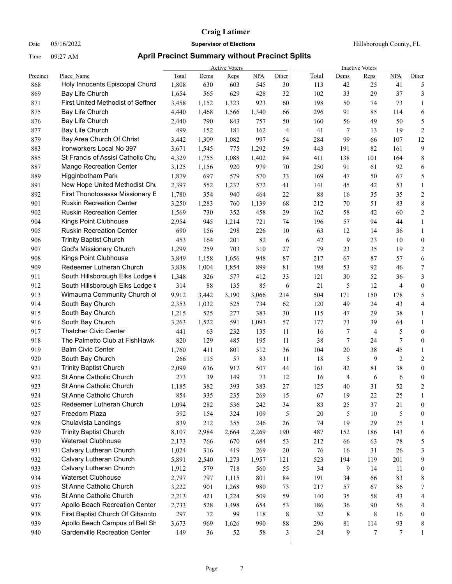Date 05/16/2022 **Supervisor of Elections Supervisor of Elections** Hillsborough County, FL

|            |                                                    |                |            | <b>Active Voters</b> |            |          | <b>Inactive Voters</b> |                 |                     |                  |                       |  |
|------------|----------------------------------------------------|----------------|------------|----------------------|------------|----------|------------------------|-----------------|---------------------|------------------|-----------------------|--|
| Precinct   | Place Name                                         | Total          | Dems       | Reps                 | <b>NPA</b> | Other    | <b>Total</b>           | Dems            | Reps                | <b>NPA</b>       | Other                 |  |
| 868        | Holy Innocents Episcopal Churc                     | 1,808          | 630        | 603                  | 545        | 30       | 113                    | 42              | 25                  | 41               | 5                     |  |
| 869        | Bay Life Church                                    | 1,654          | 565        | 629                  | 428        | 32       | 102                    | 33              | 29                  | 37               | 3                     |  |
| 871        | <b>First United Methodist of Seffner</b>           | 3,458          | 1,152      | 1,323                | 923        | 60       | 198                    | 50              | 74                  | 73               | 1                     |  |
| 875        | Bay Life Church                                    | 4,440          | 1,468      | 1,566                | 1,340      | 66       | 296                    | 91              | 85                  | 114              | 6                     |  |
| 876        | Bay Life Church                                    | 2,440          | 790        | 843                  | 757        | 50       | 160                    | 56              | 49                  | 50               | 5                     |  |
| 877        | Bay Life Church                                    | 499            | 152        | 181                  | 162        | 4        |                        | 41              | 7<br>13             | 19               | $\sqrt{2}$            |  |
| 879        | Bay Area Church Of Christ                          | 3,442          | 1,309      | 1,082                | 997        | 54       | 284                    | 99              | 66                  | 107              | 12                    |  |
| 883        | Ironworkers Local No 397                           | 3,671          | 1,545      | 775                  | 1,292      | 59       | 443                    | 191             | 82                  | 161              | 9                     |  |
| 885        | St Francis of Assisi Catholic Chu                  | 4,329          | 1,755      | 1,088                | 1,402      | 84       | 411                    | 138             | 101                 | 164              | 8                     |  |
| 887        | <b>Mango Recreation Center</b>                     | 3,125          | 1,156      | 920                  | 979        | 70       | 250                    | 91              | 61                  | 92               | 6                     |  |
| 889        | Higginbotham Park                                  | 1,879          | 697        | 579                  | 570        | 33       | 169                    | 47              | 50                  | 67               | 5                     |  |
| 891        | New Hope United Methodist Chu                      | 2,397          | 552        | 1,232                | 572        | 41       | 141                    | 45              | 42                  | 53               | $\mathbf{1}$          |  |
| 892        | First Thonotosassa Missionary E                    | 1,780          | 354        | 940                  | 464        | 22       |                        | 88<br>16        | 35                  | 35               | $\overline{c}$        |  |
| 901        | <b>Ruskin Recreation Center</b>                    | 3,250          | 1,283      | 760                  | 1,139      | 68       | 212                    | 70              | 51                  | 83               | 8                     |  |
| 902        | <b>Ruskin Recreation Center</b>                    | 1,569          | 730        | 352                  | 458        | 29       | 162                    | 58              | 42                  | 60               | 2                     |  |
| 904        | Kings Point Clubhouse                              | 2,954          | 945        | 1,214                | 721        | 74       | 196                    | 57              | 94                  | 44               | $\mathbf{1}$          |  |
| 905        | <b>Ruskin Recreation Center</b>                    | 690            | 156        | 298                  | 226        | 10       |                        | 63<br>12        | 14                  | 36               | $\mathbf{1}$          |  |
| 906        | <b>Trinity Baptist Church</b>                      | 453            | 164        | 201                  | 82         | 6        |                        | 42              | 9<br>23             | 10               | $\boldsymbol{0}$      |  |
| 907        | God's Missionary Church                            | 1,299          | 259        | 703                  | 310        | 27       |                        | 79<br>23        | 35                  | 19               | 2                     |  |
| 908        | Kings Point Clubhouse                              | 3,849          | 1,158      | 1,656                | 948        | 87       | 217                    | 67              | 87                  | 57               | 6                     |  |
| 909        | Redeemer Lutheran Church                           | 3,838          | 1,004      | 1,854                | 899        | 81       | 198                    | 53              | 92                  | 46               | 7                     |  |
| 911        | South Hillsborough Elks Lodge #                    | 1,348          | 326        | 577                  | 412        | 33       | 121                    | 30              | 52                  | 36               | 3                     |  |
| 912        | South Hillsborough Elks Lodge #                    | 314            | 88         | 135                  | 85         | 6        |                        | 21              | 5<br>12             | 4                | $\boldsymbol{0}$      |  |
| 913        | Wimauma Community Church of                        | 9,912          | 3,442      | 3,190                | 3,066      | 214      | 504                    | 171             | 150                 | 178              | 5                     |  |
| 914        | South Bay Church                                   | 2,353          | 1,032      | 525                  | 734        | 62       | 120                    | 49              | 24                  | 43               | 4                     |  |
| 915        | South Bay Church                                   | 1,215          | 525        | 277                  | 383        | $30\,$   | 115                    | 47              | 29                  | 38               | $\mathbf{1}$          |  |
| 916        | South Bay Church                                   | 3,263          | 1,522      | 591                  | 1,093      | 57       | 177                    | 73              | 39                  | 64               | $\mathbf{1}$          |  |
| 917        | <b>Thatcher Civic Center</b>                       | 441            | 63         | 232                  | 135        | 11       |                        | 16              | 7<br>$\overline{4}$ | 5                | $\boldsymbol{0}$      |  |
| 918        | The Palmetto Club at FishHawk                      | 820            | 129        | 485                  | 195        | 11       |                        | 38              | 7<br>24             | 7                | $\boldsymbol{0}$      |  |
| 919        | <b>Balm Civic Center</b>                           | 1,760          | 411        | 801                  | 512        | 36       | 104                    | 20              | 38                  | 45               | $\mathbf{1}$          |  |
| 920        | South Bay Church                                   | 266            | 115        | 57                   | 83         | 11       |                        | 18              | 5<br>9              | 2                | 2                     |  |
| 921        | <b>Trinity Baptist Church</b>                      | 2,099          | 636        | 912                  | 507        | 44       | 161                    | 42              | 81                  | 38               | $\boldsymbol{0}$      |  |
| 922<br>923 | St Anne Catholic Church                            | 273            | 39         | 149                  | 73         | 12       |                        | 16              | 4<br>6              | 6                | $\boldsymbol{0}$      |  |
|            | St Anne Catholic Church<br>St Anne Catholic Church | 1,185          | 382        | 393                  | 383        | 27       | 125                    | 40              | 31                  | 52               | $\overline{c}$        |  |
| 924        |                                                    | 854            | 335        | 235                  | 269        | 15       |                        | 67<br>19        | 22                  | 25               | $\mathbf{1}$          |  |
| 925        | Redeemer Lutheran Church                           | 1,094          | 282        | 536                  | 242        | 34       |                        | 25<br>83        | 37                  | 21               | 0                     |  |
| 927        | Freedom Plaza<br>Chulavista Landings               | 592            | 154        | 324                  | 109        | 5        |                        | $20\,$          | 5<br>$10\,$         | 5                | $\boldsymbol{0}$      |  |
| 928<br>929 | <b>Trinity Baptist Church</b>                      | 839            | 212        | 355                  | 246        | 26       |                        | 19<br>74        | 29                  | 25               | 1                     |  |
|            | <b>Waterset Clubhouse</b>                          | 8,107          | 2,984      | 2,664                | 2,269      | 190      | 487                    | 152             | 186                 | 143              | 6                     |  |
| 930        | Calvary Lutheran Church                            | 2,173          | 766<br>316 | 670                  | 684        | 53       | 212                    | 66              | 63                  | 78<br>26         | 5                     |  |
| 931<br>932 | Calvary Lutheran Church                            | 1,024          |            | 419                  | 269        | $20\,$   |                        | 76<br>16<br>194 | 31                  | 201              | 3<br>9                |  |
|            | Calvary Lutheran Church                            | 5,891          | 2,540      | 1,273                | 1,957      | 121      | 523                    | 34              | 119<br>14           | 11               |                       |  |
| 933        | <b>Waterset Clubhouse</b>                          | 1,912          | 579        | 718                  | 560        | 55       |                        |                 | 9                   |                  | $\boldsymbol{0}$      |  |
| 934<br>935 | St Anne Catholic Church                            | 2,797<br>3,222 | 797<br>901 | 1,115<br>1,268       | 801<br>980 | 84<br>73 | 191<br>217             | 34<br>57        | 66<br>67            | 83<br>86         | 8<br>7                |  |
|            | St Anne Catholic Church                            |                |            |                      |            |          |                        |                 |                     |                  |                       |  |
| 936<br>937 | Apollo Beach Recreation Center                     | 2,213<br>2,733 | 421        | 1,224                | 509        | 59       | 140                    | 35              | 58<br>90            | 43               | 4                     |  |
| 938        | First Baptist Church Of Gibsontc                   | 297            | 528<br>72  | 1,498<br>99          | 654<br>118 | 53<br>8  | 186                    | 36<br>32        | 8<br>8              | 56<br>16         | 4<br>$\boldsymbol{0}$ |  |
| 939        | Apollo Beach Campus of Bell Sh                     | 3,673          | 969        | 1,626                | 990        | $88\,$   | 296                    | 81              | 114                 | 93               | 8                     |  |
| 940        | <b>Gardenville Recreation Center</b>               | 149            | 36         | 52                   | 58         | 3        |                        | 24              | $\tau$<br>9         | $\boldsymbol{7}$ | 1                     |  |
|            |                                                    |                |            |                      |            |          |                        |                 |                     |                  |                       |  |